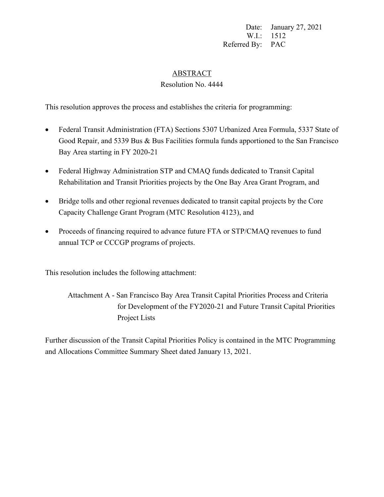Date: January 27, 2021 W.I.: 1512 Referred By: PAC

### ABSTRACT

### Resolution No. 4444

This resolution approves the process and establishes the criteria for programming:

- Federal Transit Administration (FTA) Sections 5307 Urbanized Area Formula, 5337 State of Good Repair, and 5339 Bus & Bus Facilities formula funds apportioned to the San Francisco Bay Area starting in FY 2020-21
- Federal Highway Administration STP and CMAQ funds dedicated to Transit Capital Rehabilitation and Transit Priorities projects by the One Bay Area Grant Program, and
- Bridge tolls and other regional revenues dedicated to transit capital projects by the Core Capacity Challenge Grant Program (MTC Resolution 4123), and
- Proceeds of financing required to advance future FTA or STP/CMAQ revenues to fund annual TCP or CCCGP programs of projects..

This resolution includes the following attachment:

# Attachment A - San Francisco Bay Area Transit Capital Priorities Process and Criteria for Development of the FY2020-21 and Future Transit Capital Priorities Project Lists

Further discussion of the Transit Capital Priorities Policy is contained in the MTC Programming and Allocations Committee Summary Sheet dated January 13, 2021.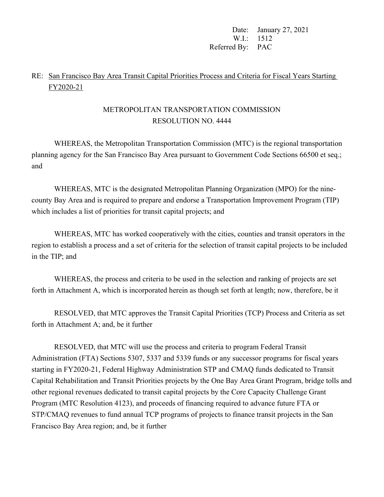Date: January 27, 2021 W.I.: 1512 Referred By: PAC

# RE: San Francisco Bay Area Transit Capital Priorities Process and Criteria for Fiscal Years Starting FY2020-21

# METROPOLITAN TRANSPORTATION COMMISSION RESOLUTION NO. 4444

 WHEREAS, the Metropolitan Transportation Commission (MTC) is the regional transportation planning agency for the San Francisco Bay Area pursuant to Government Code Sections 66500 et seq.; and

 WHEREAS, MTC is the designated Metropolitan Planning Organization (MPO) for the ninecounty Bay Area and is required to prepare and endorse a Transportation Improvement Program (TIP) which includes a list of priorities for transit capital projects; and

 WHEREAS, MTC has worked cooperatively with the cities, counties and transit operators in the region to establish a process and a set of criteria for the selection of transit capital projects to be included in the TIP; and

 WHEREAS, the process and criteria to be used in the selection and ranking of projects are set forth in Attachment A, which is incorporated herein as though set forth at length; now, therefore, be it

 RESOLVED, that MTC approves the Transit Capital Priorities (TCP) Process and Criteria as set forth in Attachment A; and, be it further

 RESOLVED, that MTC will use the process and criteria to program Federal Transit Administration (FTA) Sections 5307, 5337 and 5339 funds or any successor programs for fiscal years starting in FY2020-21, Federal Highway Administration STP and CMAQ funds dedicated to Transit Capital Rehabilitation and Transit Priorities projects by the One Bay Area Grant Program, bridge tolls and other regional revenues dedicated to transit capital projects by the Core Capacity Challenge Grant Program (MTC Resolution 4123), and proceeds of financing required to advance future FTA or STP/CMAQ revenues to fund annual TCP programs of projects to finance transit projects in the San Francisco Bay Area region; and, be it further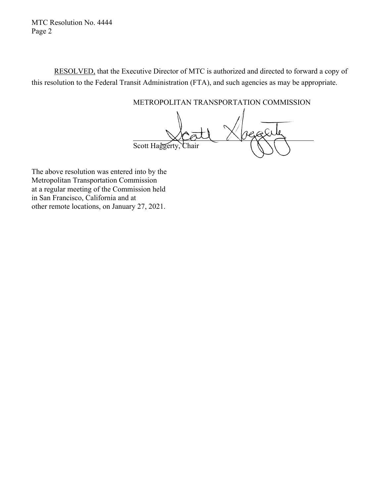MTC Resolution No. 4444 Page 2

RESOLVED, that the Executive Director of MTC is authorized and directed to forward a copy of this resolution to the Federal Transit Administration (FTA), and such agencies as may be appropriate.

## METROPOLITAN TRANSPORTATION COMMISSION

Scott Haggerty, Chair

The above resolution was entered into by the Metropolitan Transportation Commission at a regular meeting of the Commission held in San Francisco, California and at other remote locations, on January 27, 2021.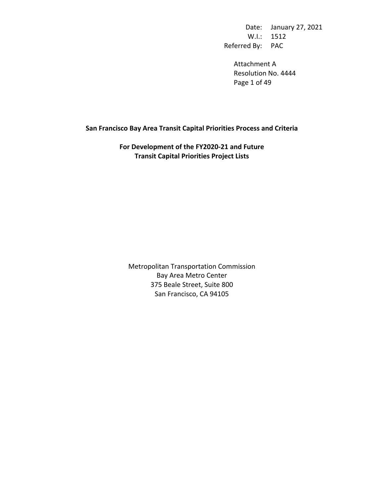Date: January 27, 2021 W.I.: 1512 Referred By: PAC

Attachment A Resolution No. 4444 Page 1 of 49

**San Francisco Bay Area Transit Capital Priorities Process and Criteria** 

**For Development of the FY2020‐21 and Future Transit Capital Priorities Project Lists**

Metropolitan Transportation Commission Bay Area Metro Center 375 Beale Street, Suite 800 San Francisco, CA 94105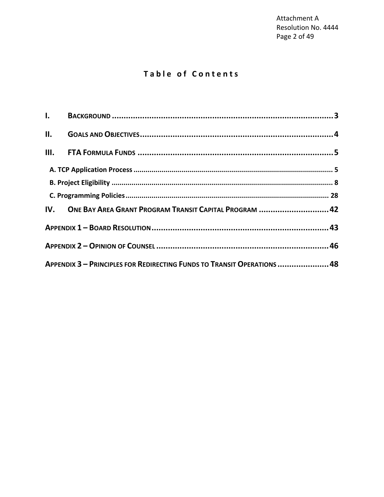Attachment A Resolution No. 4444 Page 2 of 49

# Table of Contents

| IV. ONE BAY AREA GRANT PROGRAM TRANSIT CAPITAL PROGRAM  42              |  |
|-------------------------------------------------------------------------|--|
|                                                                         |  |
|                                                                         |  |
| APPENDIX 3 - PRINCIPLES FOR REDIRECTING FUNDS TO TRANSIT OPERATIONS  48 |  |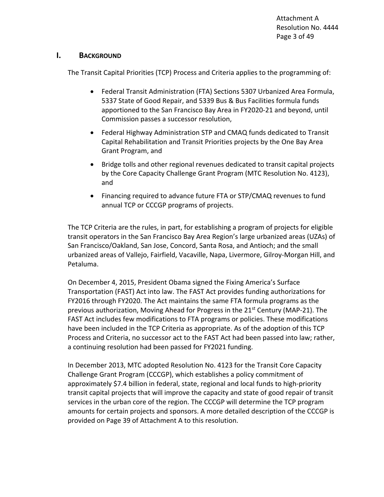## **I. BACKGROUND**

The Transit Capital Priorities (TCP) Process and Criteria applies to the programming of:

- Federal Transit Administration (FTA) Sections 5307 Urbanized Area Formula, 5337 State of Good Repair, and 5339 Bus & Bus Facilities formula funds apportioned to the San Francisco Bay Area in FY2020‐21 and beyond, until Commission passes a successor resolution,
- Federal Highway Administration STP and CMAQ funds dedicated to Transit Capital Rehabilitation and Transit Priorities projects by the One Bay Area Grant Program, and
- Bridge tolls and other regional revenues dedicated to transit capital projects by the Core Capacity Challenge Grant Program (MTC Resolution No. 4123), and
- Financing required to advance future FTA or STP/CMAQ revenues to fund annual TCP or CCCGP programs of projects.

The TCP Criteria are the rules, in part, for establishing a program of projects for eligible transit operators in the San Francisco Bay Area Region's large urbanized areas (UZAs) of San Francisco/Oakland, San Jose, Concord, Santa Rosa, and Antioch; and the small urbanized areas of Vallejo, Fairfield, Vacaville, Napa, Livermore, Gilroy‐Morgan Hill, and Petaluma.

On December 4, 2015, President Obama signed the Fixing America's Surface Transportation (FAST) Act into law. The FAST Act provides funding authorizations for FY2016 through FY2020. The Act maintains the same FTA formula programs as the previous authorization, Moving Ahead for Progress in the 21<sup>st</sup> Century (MAP-21). The FAST Act includes few modifications to FTA programs or policies. These modifications have been included in the TCP Criteria as appropriate. As of the adoption of this TCP Process and Criteria, no successor act to the FAST Act had been passed into law; rather, a continuing resolution had been passed for FY2021 funding.

In December 2013, MTC adopted Resolution No. 4123 for the Transit Core Capacity Challenge Grant Program (CCCGP), which establishes a policy commitment of approximately \$7.4 billion in federal, state, regional and local funds to high-priority transit capital projects that will improve the capacity and state of good repair of transit services in the urban core of the region. The CCCGP will determine the TCP program amounts for certain projects and sponsors. A more detailed description of the CCCGP is provided on Page 39 of Attachment A to this resolution.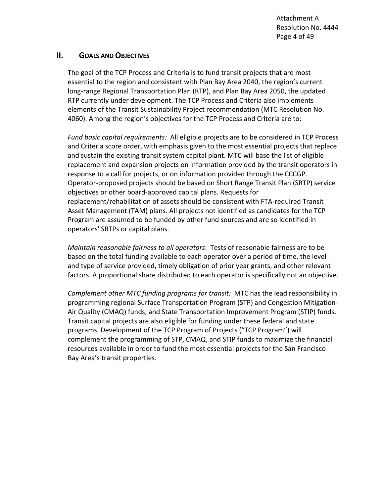Attachment A Resolution No. 4444 Page 4 of 49

## **II.** GOALS AND OBJECTIVES

The goal of the TCP Process and Criteria is to fund transit projects that are most essential to the region and consistent with Plan Bay Area 2040, the region's current long-range Regional Transportation Plan (RTP), and Plan Bay Area 2050, the updated RTP currently under development. The TCP Process and Criteria also implements elements of the Transit Sustainability Project recommendation (MTC Resolution No. 4060). Among the region's objectives for the TCP Process and Criteria are to:

*Fund basic capital requirements:* All eligible projects are to be considered in TCP Process and Criteria score order, with emphasis given to the most essential projects that replace and sustain the existing transit system capital plant. MTC will base the list of eligible replacement and expansion projects on information provided by the transit operators in response to a call for projects, or on information provided through the CCCGP. Operator‐proposed projects should be based on Short Range Transit Plan (SRTP) service objectives or other board‐approved capital plans. Requests for replacement/rehabilitation of assets should be consistent with FTA‐required Transit Asset Management (TAM) plans. All projects not identified as candidates for the TCP Program are assumed to be funded by other fund sources and are so identified in operators' SRTPs or capital plans.

*Maintain reasonable fairness to all operators*: Tests of reasonable fairness are to be based on the total funding available to each operator over a period of time, the level and type of service provided, timely obligation of prior year grants, and other relevant factors. A proportional share distributed to each operator is specifically not an objective.

*Complement other MTC funding programs for transit:* MTC has the lead responsibility in programming regional Surface Transportation Program (STP) and Congestion Mitigation‐ Air Quality (CMAQ) funds, and State Transportation Improvement Program (STIP) funds. Transit capital projects are also eligible for funding under these federal and state programs. Development of the TCP Program of Projects ("TCP Program") will complement the programming of STP, CMAQ, and STIP funds to maximize the financial resources available in order to fund the most essential projects for the San Francisco Bay Area's transit properties.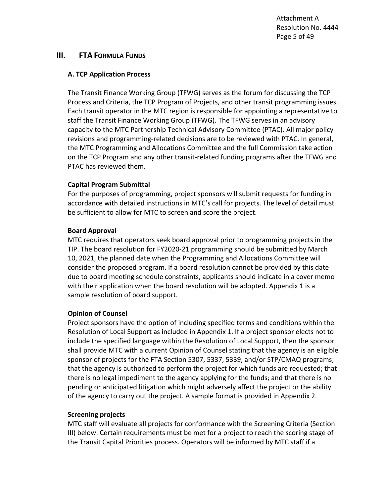Attachment A Resolution No. 4444 Page 5 of 49

### **III. FTA FORMULA FUNDS**

## **A. TCP Application Process**

The Transit Finance Working Group (TFWG) serves as the forum for discussing the TCP Process and Criteria, the TCP Program of Projects, and other transit programming issues. Each transit operator in the MTC region is responsible for appointing a representative to staff the Transit Finance Working Group (TFWG). The TFWG serves in an advisory capacity to the MTC Partnership Technical Advisory Committee (PTAC). All major policy revisions and programming‐related decisions are to be reviewed with PTAC. In general, the MTC Programming and Allocations Committee and the full Commission take action on the TCP Program and any other transit‐related funding programs after the TFWG and PTAC has reviewed them.

## **Capital Program Submittal**

For the purposes of programming, project sponsors will submit requests for funding in accordance with detailed instructions in MTC's call for projects. The level of detail must be sufficient to allow for MTC to screen and score the project.

### **Board Approval**

MTC requires that operators seek board approval prior to programming projects in the TIP. The board resolution for FY2020‐21 programming should be submitted by March 10, 2021, the planned date when the Programming and Allocations Committee will consider the proposed program. If a board resolution cannot be provided by this date due to board meeting schedule constraints, applicants should indicate in a cover memo with their application when the board resolution will be adopted. Appendix 1 is a sample resolution of board support.

### **Opinion of Counsel**

Project sponsors have the option of including specified terms and conditions within the Resolution of Local Support as included in Appendix 1. If a project sponsor elects not to include the specified language within the Resolution of Local Support, then the sponsor shall provide MTC with a current Opinion of Counsel stating that the agency is an eligible sponsor of projects for the FTA Section 5307, 5337, 5339, and/or STP/CMAQ programs; that the agency is authorized to perform the project for which funds are requested; that there is no legal impediment to the agency applying for the funds; and that there is no pending or anticipated litigation which might adversely affect the project or the ability of the agency to carry out the project. A sample format is provided in Appendix 2.

### **Screening projects**

MTC staff will evaluate all projects for conformance with the Screening Criteria (Section III) below. Certain requirements must be met for a project to reach the scoring stage of the Transit Capital Priorities process. Operators will be informed by MTC staff if a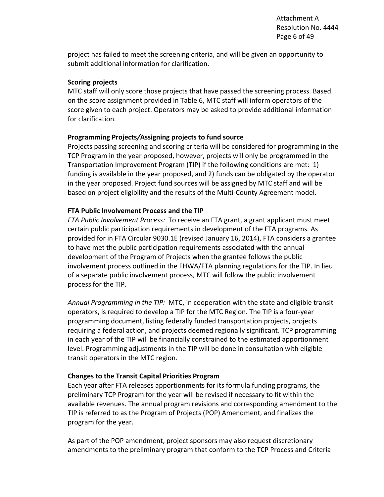project has failed to meet the screening criteria, and will be given an opportunity to submit additional information for clarification.

## **Scoring projects**

MTC staff will only score those projects that have passed the screening process. Based on the score assignment provided in Table 6, MTC staff will inform operators of the score given to each project. Operators may be asked to provide additional information for clarification.

## **Programming Projects***/***Assigning projects to fund source**

Projects passing screening and scoring criteria will be considered for programming in the TCP Program in the year proposed, however, projects will only be programmed in the Transportation Improvement Program (TIP) if the following conditions are met: 1) funding is available in the year proposed, and 2) funds can be obligated by the operator in the year proposed. Project fund sources will be assigned by MTC staff and will be based on project eligibility and the results of the Multi‐County Agreement model.

## **FTA Public Involvement Process and the TIP**

*FTA Public Involvement Process:* To receive an FTA grant, a grant applicant must meet certain public participation requirements in development of the FTA programs. As provided for in FTA Circular 9030.1E (revised January 16, 2014), FTA considers a grantee to have met the public participation requirements associated with the annual development of the Program of Projects when the grantee follows the public involvement process outlined in the FHWA/FTA planning regulations for the TIP. In lieu of a separate public involvement process, MTC will follow the public involvement process for the TIP.

*Annual Programming in the TIP:* MTC, in cooperation with the state and eligible transit operators, is required to develop a TIP for the MTC Region. The TIP is a four‐year programming document, listing federally funded transportation projects, projects requiring a federal action, and projects deemed regionally significant. TCP programming in each year of the TIP will be financially constrained to the estimated apportionment level. Programming adjustments in the TIP will be done in consultation with eligible transit operators in the MTC region.

## **Changes to the Transit Capital Priorities Program**

Each year after FTA releases apportionments for its formula funding programs, the preliminary TCP Program for the year will be revised if necessary to fit within the available revenues. The annual program revisions and corresponding amendment to the TIP is referred to as the Program of Projects (POP) Amendment, and finalizes the program for the year.

As part of the POP amendment, project sponsors may also request discretionary amendments to the preliminary program that conform to the TCP Process and Criteria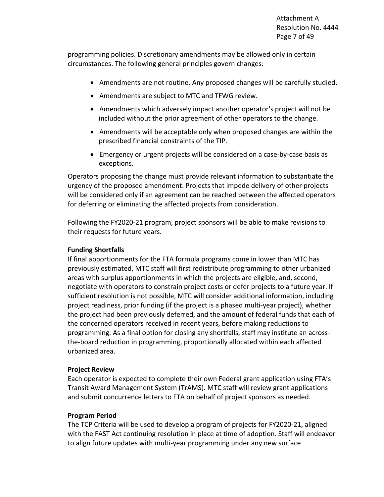programming policies. Discretionary amendments may be allowed only in certain circumstances. The following general principles govern changes:

- Amendments are not routine. Any proposed changes will be carefully studied.
- Amendments are subject to MTC and TFWG review.
- Amendments which adversely impact another operator's project will not be included without the prior agreement of other operators to the change.
- Amendments will be acceptable only when proposed changes are within the prescribed financial constraints of the TIP.
- Emergency or urgent projects will be considered on a case-by-case basis as exceptions.

Operators proposing the change must provide relevant information to substantiate the urgency of the proposed amendment. Projects that impede delivery of other projects will be considered only if an agreement can be reached between the affected operators for deferring or eliminating the affected projects from consideration.

Following the FY2020‐21 program, project sponsors will be able to make revisions to their requests for future years.

## **Funding Shortfalls**

If final apportionments for the FTA formula programs come in lower than MTC has previously estimated, MTC staff will first redistribute programming to other urbanized areas with surplus apportionments in which the projects are eligible, and, second, negotiate with operators to constrain project costs or defer projects to a future year. If sufficient resolution is not possible, MTC will consider additional information, including project readiness, prior funding (if the project is a phased multi‐year project), whether the project had been previously deferred, and the amount of federal funds that each of the concerned operators received in recent years, before making reductions to programming. As a final option for closing any shortfalls, staff may institute an across‐ the‐board reduction in programming, proportionally allocated within each affected urbanized area.

### **Project Review**

Each operator is expected to complete their own Federal grant application using FTA's Transit Award Management System (TrAMS). MTC staff will review grant applications and submit concurrence letters to FTA on behalf of project sponsors as needed.

### **Program Period**

The TCP Criteria will be used to develop a program of projects for FY2020‐21, aligned with the FAST Act continuing resolution in place at time of adoption. Staff will endeavor to align future updates with multi‐year programming under any new surface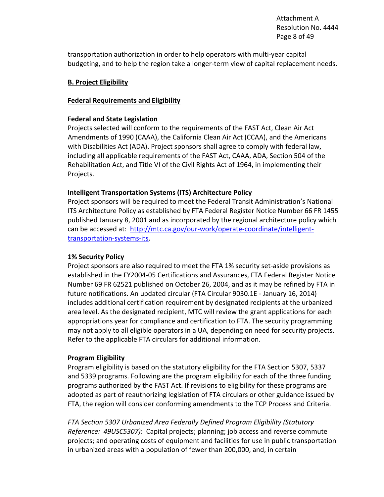Attachment A Resolution No. 4444 Page 8 of 49

transportation authorization in order to help operators with multi‐year capital budgeting, and to help the region take a longer‐term view of capital replacement needs.

### **B. Project Eligibility**

### **Federal Requirements and Eligibility**

### **Federal and State Legislation**

Projects selected will conform to the requirements of the FAST Act, Clean Air Act Amendments of 1990 (CAAA), the California Clean Air Act (CCAA), and the Americans with Disabilities Act (ADA). Project sponsors shall agree to comply with federal law, including all applicable requirements of the FAST Act, CAAA, ADA, Section 504 of the Rehabilitation Act, and Title VI of the Civil Rights Act of 1964, in implementing their Projects.

### **Intelligent Transportation Systems (ITS) Architecture Policy**

Project sponsors will be required to meet the Federal Transit Administration's National ITS Architecture Policy as established by FTA Federal Register Notice Number 66 FR 1455 published January 8, 2001 and as incorporated by the regional architecture policy which can be accessed at: http://mtc.ca.gov/our-work/operate-coordinate/intelligenttransportation‐systems‐its.

### **1% Security Policy**

Project sponsors are also required to meet the FTA 1% security set‐aside provisions as established in the FY2004‐05 Certifications and Assurances, FTA Federal Register Notice Number 69 FR 62521 published on October 26, 2004, and as it may be refined by FTA in future notifications. An updated circular (FTA Circular 9030.1E ‐ January 16, 2014) includes additional certification requirement by designated recipients at the urbanized area level. As the designated recipient, MTC will review the grant applications for each appropriations year for compliance and certification to FTA. The security programming may not apply to all eligible operators in a UA, depending on need for security projects. Refer to the applicable FTA circulars for additional information.

### **Program Eligibility**

Program eligibility is based on the statutory eligibility for the FTA Section 5307, 5337 and 5339 programs. Following are the program eligibility for each of the three funding programs authorized by the FAST Act. If revisions to eligibility for these programs are adopted as part of reauthorizing legislation of FTA circulars or other guidance issued by FTA, the region will consider conforming amendments to the TCP Process and Criteria.

*FTA Section 5307 Urbanized Area Federally Defined Program Eligibility (Statutory Reference: 49USC5307)*: Capital projects; planning; job access and reverse commute projects; and operating costs of equipment and facilities for use in public transportation in urbanized areas with a population of fewer than 200,000, and, in certain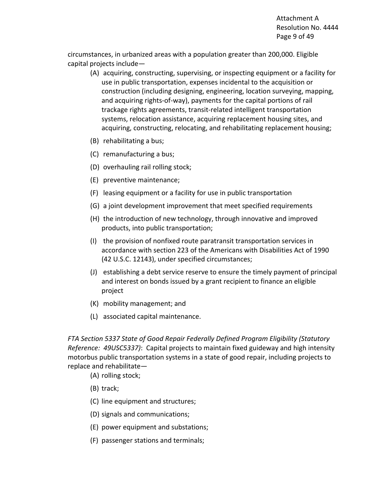circumstances, in urbanized areas with a population greater than 200,000. Eligible capital projects include—

- (A) acquiring, constructing, supervising, or inspecting equipment or a facility for use in public transportation, expenses incidental to the acquisition or construction (including designing, engineering, location surveying, mapping, and acquiring rights‐of‐way), payments for the capital portions of rail trackage rights agreements, transit‐related intelligent transportation systems, relocation assistance, acquiring replacement housing sites, and acquiring, constructing, relocating, and rehabilitating replacement housing;
- (B) rehabilitating a bus;
- (C) remanufacturing a bus;
- (D) overhauling rail rolling stock;
- (E) preventive maintenance;
- (F) leasing equipment or a facility for use in public transportation
- (G) a joint development improvement that meet specified requirements
- (H) the introduction of new technology, through innovative and improved products, into public transportation;
- (I) the provision of nonfixed route paratransit transportation services in accordance with section 223 of the Americans with Disabilities Act of 1990 (42 U.S.C. 12143), under specified circumstances;
- (J) establishing a debt service reserve to ensure the timely payment of principal and interest on bonds issued by a grant recipient to finance an eligible project
- (K) mobility management; and
- (L) associated capital maintenance.

*FTA Section 5337 State of Good Repair Federally Defined Program Eligibility (Statutory Reference: 49USC5337)*: Capital projects to maintain fixed guideway and high intensity motorbus public transportation systems in a state of good repair, including projects to replace and rehabilitate—

- (A) rolling stock;
- (B) track;
- (C) line equipment and structures;
- (D) signals and communications;
- (E) power equipment and substations;
- (F) passenger stations and terminals;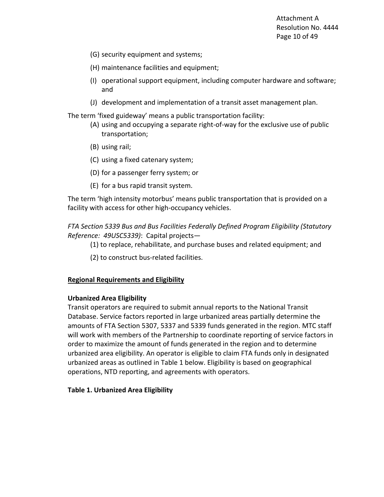Attachment A Resolution No. 4444 Page 10 of 49

- (G) security equipment and systems;
- (H) maintenance facilities and equipment;
- (I) operational support equipment, including computer hardware and software; and
- (J) development and implementation of a transit asset management plan.

The term 'fixed guideway' means a public transportation facility:

- (A) using and occupying a separate right‐of‐way for the exclusive use of public transportation;
- (B) using rail;
- (C) using a fixed catenary system;
- (D) for a passenger ferry system; or
- (E) for a bus rapid transit system.

The term 'high intensity motorbus' means public transportation that is provided on a facility with access for other high‐occupancy vehicles.

*FTA Section 5339 Bus and Bus Facilities Federally Defined Program Eligibility (Statutory Reference: 49USC5339)*: Capital projects—

(1) to replace, rehabilitate, and purchase buses and related equipment; and

(2) to construct bus‐related facilities.

#### **Regional Requirements and Eligibility**

#### **Urbanized Area Eligibility**

Transit operators are required to submit annual reports to the National Transit Database. Service factors reported in large urbanized areas partially determine the amounts of FTA Section 5307, 5337 and 5339 funds generated in the region. MTC staff will work with members of the Partnership to coordinate reporting of service factors in order to maximize the amount of funds generated in the region and to determine urbanized area eligibility. An operator is eligible to claim FTA funds only in designated urbanized areas as outlined in Table 1 below. Eligibility is based on geographical operations, NTD reporting, and agreements with operators.

#### **Table 1. Urbanized Area Eligibility**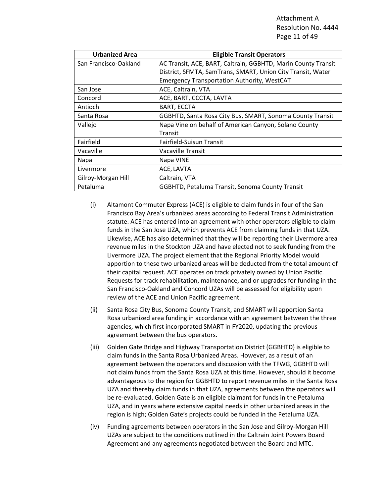Attachment A Resolution No. 4444 Page 11 of 49

| <b>Urbanized Area</b> | <b>Eligible Transit Operators</b>                             |  |  |
|-----------------------|---------------------------------------------------------------|--|--|
| San Francisco-Oakland | AC Transit, ACE, BART, Caltrain, GGBHTD, Marin County Transit |  |  |
|                       | District, SFMTA, SamTrans, SMART, Union City Transit, Water   |  |  |
|                       | <b>Emergency Transportation Authority, WestCAT</b>            |  |  |
| San Jose              | ACE, Caltrain, VTA                                            |  |  |
| Concord               | ACE, BART, CCCTA, LAVTA                                       |  |  |
| Antioch               | <b>BART, ECCTA</b>                                            |  |  |
| Santa Rosa            | GGBHTD, Santa Rosa City Bus, SMART, Sonoma County Transit     |  |  |
| Vallejo               | Napa Vine on behalf of American Canyon, Solano County         |  |  |
|                       | Transit                                                       |  |  |
| Fairfield             | Fairfield-Suisun Transit                                      |  |  |
| Vacaville             | Vacaville Transit                                             |  |  |
| Napa                  | Napa VINE                                                     |  |  |
| Livermore             | ACE, LAVTA                                                    |  |  |
| Gilroy-Morgan Hill    | Caltrain, VTA                                                 |  |  |
| Petaluma              | GGBHTD, Petaluma Transit, Sonoma County Transit               |  |  |

- (i) Altamont Commuter Express (ACE) is eligible to claim funds in four of the San Francisco Bay Area's urbanized areas according to Federal Transit Administration statute. ACE has entered into an agreement with other operators eligible to claim funds in the San Jose UZA, which prevents ACE from claiming funds in that UZA. Likewise, ACE has also determined that they will be reporting their Livermore area revenue miles in the Stockton UZA and have elected not to seek funding from the Livermore UZA. The project element that the Regional Priority Model would apportion to these two urbanized areas will be deducted from the total amount of their capital request. ACE operates on track privately owned by Union Pacific. Requests for track rehabilitation, maintenance, and or upgrades for funding in the San Francisco‐Oakland and Concord UZAs will be assessed for eligibility upon review of the ACE and Union Pacific agreement.
- (ii) Santa Rosa City Bus, Sonoma County Transit, and SMART will apportion Santa Rosa urbanized area funding in accordance with an agreement between the three agencies, which first incorporated SMART in FY2020, updating the previous agreement between the bus operators.
- (iii) Golden Gate Bridge and Highway Transportation District (GGBHTD) is eligible to claim funds in the Santa Rosa Urbanized Areas. However, as a result of an agreement between the operators and discussion with the TFWG, GGBHTD will not claim funds from the Santa Rosa UZA at this time. However, should it become advantageous to the region for GGBHTD to report revenue miles in the Santa Rosa UZA and thereby claim funds in that UZA, agreements between the operators will be re-evaluated. Golden Gate is an eligible claimant for funds in the Petaluma UZA, and in years where extensive capital needs in other urbanized areas in the region is high; Golden Gate's projects could be funded in the Petaluma UZA.
- (iv) Funding agreements between operators in the San Jose and Gilroy‐Morgan Hill UZAs are subject to the conditions outlined in the Caltrain Joint Powers Board Agreement and any agreements negotiated between the Board and MTC.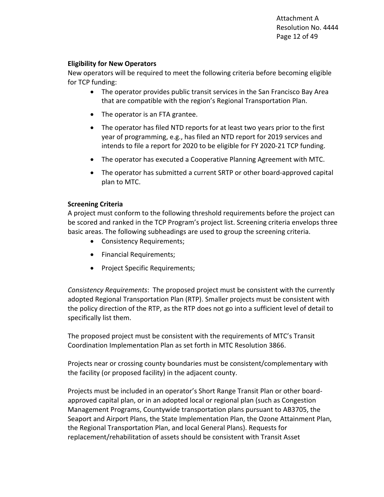Attachment A Resolution No. 4444 Page 12 of 49

## **Eligibility for New Operators**

New operators will be required to meet the following criteria before becoming eligible for TCP funding:

- The operator provides public transit services in the San Francisco Bay Area that are compatible with the region's Regional Transportation Plan.
- The operator is an FTA grantee.
- The operator has filed NTD reports for at least two years prior to the first year of programming, e.g., has filed an NTD report for 2019 services and intends to file a report for 2020 to be eligible for FY 2020‐21 TCP funding.
- The operator has executed a Cooperative Planning Agreement with MTC.
- The operator has submitted a current SRTP or other board-approved capital plan to MTC.

## **Screening Criteria**

A project must conform to the following threshold requirements before the project can be scored and ranked in the TCP Program's project list. Screening criteria envelops three basic areas. The following subheadings are used to group the screening criteria.

- Consistency Requirements;
- Financial Requirements;
- Project Specific Requirements;

*Consistency Requirements*: The proposed project must be consistent with the currently adopted Regional Transportation Plan (RTP). Smaller projects must be consistent with the policy direction of the RTP, as the RTP does not go into a sufficient level of detail to specifically list them.

The proposed project must be consistent with the requirements of MTC's Transit Coordination Implementation Plan as set forth in MTC Resolution 3866.

Projects near or crossing county boundaries must be consistent/complementary with the facility (or proposed facility) in the adjacent county.

Projects must be included in an operator's Short Range Transit Plan or other board‐ approved capital plan, or in an adopted local or regional plan (such as Congestion Management Programs, Countywide transportation plans pursuant to AB3705, the Seaport and Airport Plans, the State Implementation Plan, the Ozone Attainment Plan, the Regional Transportation Plan, and local General Plans). Requests for replacement/rehabilitation of assets should be consistent with Transit Asset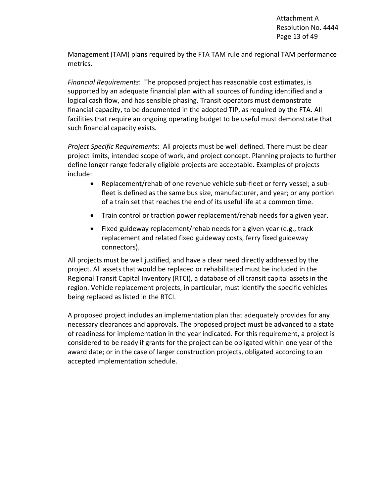Attachment A Resolution No. 4444 Page 13 of 49

Management (TAM) plans required by the FTA TAM rule and regional TAM performance metrics.

*Financial Requirements*: The proposed project has reasonable cost estimates, is supported by an adequate financial plan with all sources of funding identified and a logical cash flow, and has sensible phasing. Transit operators must demonstrate financial capacity, to be documented in the adopted TIP, as required by the FTA. All facilities that require an ongoing operating budget to be useful must demonstrate that such financial capacity exists*.*

*Project Specific Requirements*: All projects must be well defined. There must be clear project limits, intended scope of work, and project concept. Planning projects to further define longer range federally eligible projects are acceptable. Examples of projects include:

- Replacement/rehab of one revenue vehicle sub-fleet or ferry vessel; a subfleet is defined as the same bus size, manufacturer, and year; or any portion of a train set that reaches the end of its useful life at a common time.
- Train control or traction power replacement/rehab needs for a given year.
- Fixed guideway replacement/rehab needs for a given year (e.g., track replacement and related fixed guideway costs, ferry fixed guideway connectors).

All projects must be well justified, and have a clear need directly addressed by the project. All assets that would be replaced or rehabilitated must be included in the Regional Transit Capital Inventory (RTCI), a database of all transit capital assets in the region. Vehicle replacement projects, in particular, must identify the specific vehicles being replaced as listed in the RTCI.

A proposed project includes an implementation plan that adequately provides for any necessary clearances and approvals. The proposed project must be advanced to a state of readiness for implementation in the year indicated. For this requirement, a project is considered to be ready if grants for the project can be obligated within one year of the award date; or in the case of larger construction projects, obligated according to an accepted implementation schedule.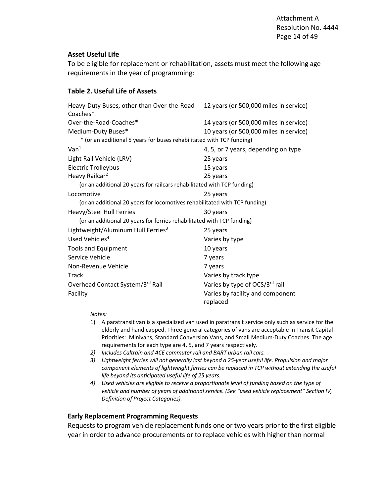Attachment A Resolution No. 4444 Page 14 of 49

### **Asset Useful Life**

To be eligible for replacement or rehabilitation, assets must meet the following age requirements in the year of programming:

### **Table 2. Useful Life of Assets**

| Heavy-Duty Buses, other than Over-the-Road- 12 years (or 500,000 miles in service)<br>Coaches* |                                              |
|------------------------------------------------------------------------------------------------|----------------------------------------------|
| Over-the-Road-Coaches*                                                                         | 14 years (or 500,000 miles in service)       |
| Medium-Duty Buses*                                                                             | 10 years (or 500,000 miles in service)       |
| * (or an additional 5 years for buses rehabilitated with TCP funding)                          |                                              |
| Van <sup>1</sup>                                                                               | 4, 5, or 7 years, depending on type          |
| Light Rail Vehicle (LRV)                                                                       | 25 years                                     |
| <b>Electric Trolleybus</b>                                                                     | 15 years                                     |
| Heavy Railcar <sup>2</sup>                                                                     | 25 years                                     |
| (or an additional 20 years for railcars rehabilitated with TCP funding)                        |                                              |
| Locomotive                                                                                     | 25 years                                     |
| (or an additional 20 years for locomotives rehabilitated with TCP funding)                     |                                              |
| Heavy/Steel Hull Ferries                                                                       | 30 years                                     |
| (or an additional 20 years for ferries rehabilitated with TCP funding)                         |                                              |
| Lightweight/Aluminum Hull Ferries <sup>3</sup>                                                 | 25 years                                     |
| Used Vehicles <sup>4</sup>                                                                     | Varies by type                               |
| <b>Tools and Equipment</b>                                                                     | 10 years                                     |
| Service Vehicle                                                                                | 7 years                                      |
| Non-Revenue Vehicle                                                                            | 7 years                                      |
| Track                                                                                          | Varies by track type                         |
| Overhead Contact System/3rd Rail                                                               | Varies by type of OCS/3 <sup>rd</sup> rail   |
| Facility                                                                                       | Varies by facility and component<br>replaced |

*Notes:*

- 1) A paratransit van is a specialized van used in paratransit service only such as service for the elderly and handicapped. Three general categories of vans are acceptable in Transit Capital Priorities: Minivans, Standard Conversion Vans, and Small Medium‐Duty Coaches. The age requirements for each type are 4, 5, and 7 years respectively.
- *2) Includes Caltrain and ACE commuter rail and BART urban rail cars.*
- *3) Lightweight ferries will not generally last beyond a 25‐year useful life. Propulsion and major component elements of lightweight ferries can be replaced in TCP without extending the useful life beyond its anticipated useful life of 25 years.*
- *4) Used vehicles are eligible to receive a proportionate level of funding based on the type of vehicle and number of years of additional service. (See "used vehicle replacement" Section IV, Definition of Project Categories).*

### **Early Replacement Programming Requests**

Requests to program vehicle replacement funds one or two years prior to the first eligible year in order to advance procurements or to replace vehicles with higher than normal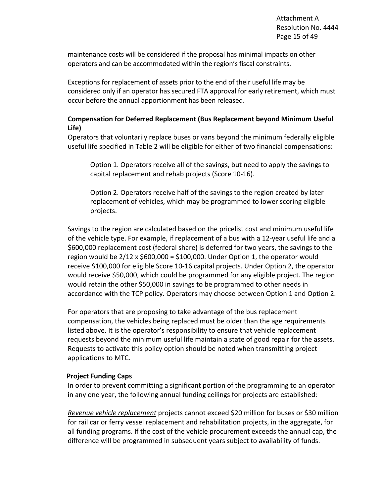maintenance costs will be considered if the proposal has minimal impacts on other operators and can be accommodated within the region's fiscal constraints.

Exceptions for replacement of assets prior to the end of their useful life may be considered only if an operator has secured FTA approval for early retirement, which must occur before the annual apportionment has been released.

## **Compensation for Deferred Replacement (Bus Replacement beyond Minimum Useful Life)**

Operators that voluntarily replace buses or vans beyond the minimum federally eligible useful life specified in Table 2 will be eligible for either of two financial compensations:

Option 1. Operators receive all of the savings, but need to apply the savings to capital replacement and rehab projects (Score 10‐16).

Option 2. Operators receive half of the savings to the region created by later replacement of vehicles, which may be programmed to lower scoring eligible projects.

Savings to the region are calculated based on the pricelist cost and minimum useful life of the vehicle type. For example, if replacement of a bus with a 12‐year useful life and a \$600,000 replacement cost (federal share) is deferred for two years, the savings to the region would be  $2/12 \times $600,000 = $100,000$ . Under Option 1, the operator would receive \$100,000 for eligible Score 10‐16 capital projects. Under Option 2, the operator would receive \$50,000, which could be programmed for any eligible project. The region would retain the other \$50,000 in savings to be programmed to other needs in accordance with the TCP policy. Operators may choose between Option 1 and Option 2.

For operators that are proposing to take advantage of the bus replacement compensation, the vehicles being replaced must be older than the age requirements listed above. It is the operator's responsibility to ensure that vehicle replacement requests beyond the minimum useful life maintain a state of good repair for the assets. Requests to activate this policy option should be noted when transmitting project applications to MTC.

## **Project Funding Caps**

In order to prevent committing a significant portion of the programming to an operator in any one year, the following annual funding ceilings for projects are established:

*Revenue vehicle replacement* projects cannot exceed \$20 million for buses or \$30 million for rail car or ferry vessel replacement and rehabilitation projects, in the aggregate, for all funding programs. If the cost of the vehicle procurement exceeds the annual cap, the difference will be programmed in subsequent years subject to availability of funds.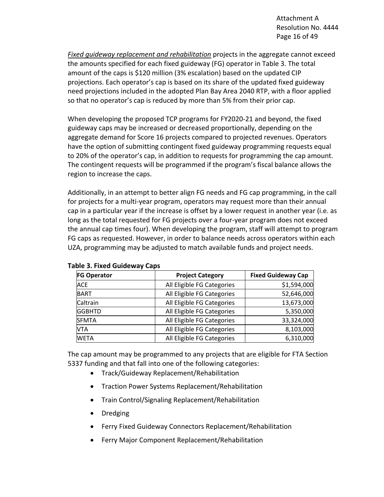Attachment A Resolution No. 4444 Page 16 of 49

*Fixed guideway replacement and rehabilitation* projects in the aggregate cannot exceed the amounts specified for each fixed guideway (FG) operator in Table 3. The total amount of the caps is \$120 million (3% escalation) based on the updated CIP projections. Each operator's cap is based on its share of the updated fixed guideway need projections included in the adopted Plan Bay Area 2040 RTP, with a floor applied so that no operator's cap is reduced by more than 5% from their prior cap.

When developing the proposed TCP programs for FY2020‐21 and beyond, the fixed guideway caps may be increased or decreased proportionally, depending on the aggregate demand for Score 16 projects compared to projected revenues. Operators have the option of submitting contingent fixed guideway programming requests equal to 20% of the operator's cap, in addition to requests for programming the cap amount. The contingent requests will be programmed if the program's fiscal balance allows the region to increase the caps.

Additionally, in an attempt to better align FG needs and FG cap programming, in the call for projects for a multi‐year program, operators may request more than their annual cap in a particular year if the increase is offset by a lower request in another year (i.e. as long as the total requested for FG projects over a four‐year program does not exceed the annual cap times four). When developing the program, staff will attempt to program FG caps as requested. However, in order to balance needs across operators within each UZA, programming may be adjusted to match available funds and project needs.

| <b>FG Operator</b> | <b>Project Category</b>    | <b>Fixed Guideway Cap</b> |
|--------------------|----------------------------|---------------------------|
| <b>ACE</b>         | All Eligible FG Categories | \$1,594,000               |
| <b>BART</b>        | All Eligible FG Categories | 52,646,000                |
| Caltrain           | All Eligible FG Categories | 13,673,000                |
| <b>GGBHTD</b>      | All Eligible FG Categories | 5,350,000                 |
| <b>SFMTA</b>       | All Eligible FG Categories | 33,324,000                |
| <b>VTA</b>         | All Eligible FG Categories | 8,103,000                 |
| <b>WETA</b>        | All Eligible FG Categories | 6,310,000                 |

### **Table 3. Fixed Guideway Caps**

The cap amount may be programmed to any projects that are eligible for FTA Section 5337 funding and that fall into one of the following categories:

- Track/Guideway Replacement/Rehabilitation
- Traction Power Systems Replacement/Rehabilitation
- Train Control/Signaling Replacement/Rehabilitation
- Dredging
- Ferry Fixed Guideway Connectors Replacement/Rehabilitation
- Ferry Major Component Replacement/Rehabilitation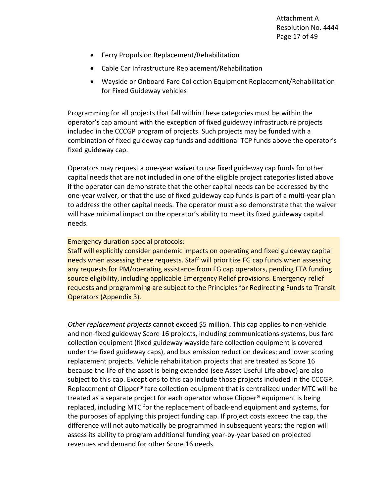- Ferry Propulsion Replacement/Rehabilitation
- Cable Car Infrastructure Replacement/Rehabilitation
- Wayside or Onboard Fare Collection Equipment Replacement/Rehabilitation for Fixed Guideway vehicles

Programming for all projects that fall within these categories must be within the operator's cap amount with the exception of fixed guideway infrastructure projects included in the CCCGP program of projects. Such projects may be funded with a combination of fixed guideway cap funds and additional TCP funds above the operator's fixed guideway cap.

Operators may request a one‐year waiver to use fixed guideway cap funds for other capital needs that are not included in one of the eligible project categories listed above if the operator can demonstrate that the other capital needs can be addressed by the one‐year waiver, or that the use of fixed guideway cap funds is part of a multi‐year plan to address the other capital needs. The operator must also demonstrate that the waiver will have minimal impact on the operator's ability to meet its fixed guideway capital needs.

## Emergency duration special protocols:

Staff will explicitly consider pandemic impacts on operating and fixed guideway capital needs when assessing these requests. Staff will prioritize FG cap funds when assessing any requests for PM/operating assistance from FG cap operators, pending FTA funding source eligibility, including applicable Emergency Relief provisions. Emergency relief requests and programming are subject to the Principles for Redirecting Funds to Transit Operators (Appendix 3).

*Other replacement projects* cannot exceed \$5 million. This cap applies to non‐vehicle and non‐fixed guideway Score 16 projects, including communications systems, bus fare collection equipment (fixed guideway wayside fare collection equipment is covered under the fixed guideway caps), and bus emission reduction devices; and lower scoring replacement projects. Vehicle rehabilitation projects that are treated as Score 16 because the life of the asset is being extended (see Asset Useful Life above) are also subject to this cap. Exceptions to this cap include those projects included in the CCCGP. Replacement of Clipper® fare collection equipment that is centralized under MTC will be treated as a separate project for each operator whose Clipper® equipment is being replaced, including MTC for the replacement of back‐end equipment and systems, for the purposes of applying this project funding cap. If project costs exceed the cap, the difference will not automatically be programmed in subsequent years; the region will assess its ability to program additional funding year‐by‐year based on projected revenues and demand for other Score 16 needs.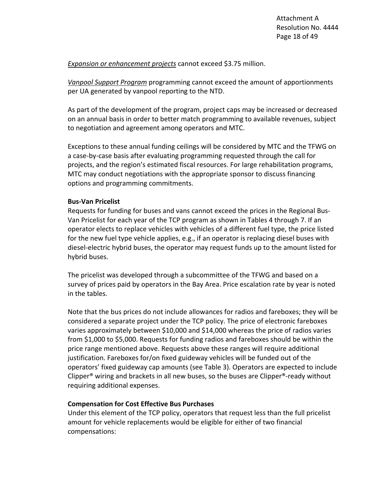*Expansion or enhancement projects* cannot exceed \$3.75 million.

*Vanpool Support Program* programming cannot exceed the amount of apportionments per UA generated by vanpool reporting to the NTD.

As part of the development of the program, project caps may be increased or decreased on an annual basis in order to better match programming to available revenues, subject to negotiation and agreement among operators and MTC.

Exceptions to these annual funding ceilings will be considered by MTC and the TFWG on a case‐by‐case basis after evaluating programming requested through the call for projects, and the region's estimated fiscal resources. For large rehabilitation programs, MTC may conduct negotiations with the appropriate sponsor to discuss financing options and programming commitments.

## **Bus‐Van Pricelist**

Requests for funding for buses and vans cannot exceed the prices in the Regional Bus‐ Van Pricelist for each year of the TCP program as shown in Tables 4 through 7. If an operator elects to replace vehicles with vehicles of a different fuel type, the price listed for the new fuel type vehicle applies, e.g., if an operator is replacing diesel buses with diesel‐electric hybrid buses, the operator may request funds up to the amount listed for hybrid buses.

The pricelist was developed through a subcommittee of the TFWG and based on a survey of prices paid by operators in the Bay Area. Price escalation rate by year is noted in the tables.

Note that the bus prices do not include allowances for radios and fareboxes; they will be considered a separate project under the TCP policy. The price of electronic fareboxes varies approximately between \$10,000 and \$14,000 whereas the price of radios varies from \$1,000 to \$5,000. Requests for funding radios and fareboxes should be within the price range mentioned above. Requests above these ranges will require additional justification. Fareboxes for/on fixed guideway vehicles will be funded out of the operators' fixed guideway cap amounts (see Table 3). Operators are expected to include Clipper® wiring and brackets in all new buses, so the buses are Clipper®‐ready without requiring additional expenses.

## **Compensation for Cost Effective Bus Purchases**

Under this element of the TCP policy, operators that request less than the full pricelist amount for vehicle replacements would be eligible for either of two financial compensations: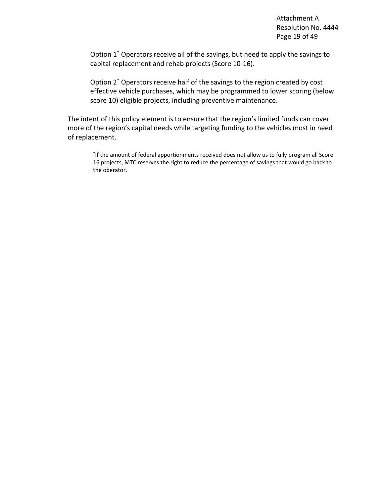Attachment A Resolution No. 4444 Page 19 of 49

Option 1\* Operators receive all of the savings, but need to apply the savings to capital replacement and rehab projects (Score 10‐16).

Option 2\* Operators receive half of the savings to the region created by cost effective vehicle purchases, which may be programmed to lower scoring (below score 10) eligible projects, including preventive maintenance.

The intent of this policy element is to ensure that the region's limited funds can cover more of the region's capital needs while targeting funding to the vehicles most in need of replacement.

\* If the amount of federal apportionments received does not allow us to fully program all Score 16 projects, MTC reserves the right to reduce the percentage of savings that would go back to the operator.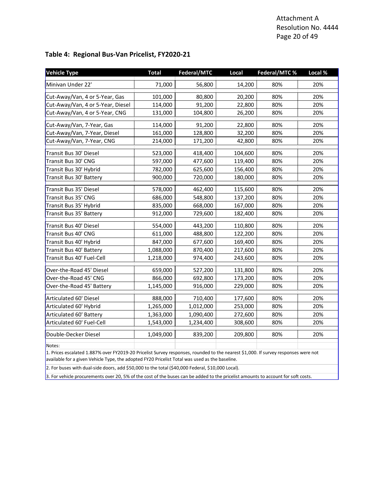Attachment A Resolution No. 4444 Page 20 of 49

## **Vehicle Type Total Federal/MTC Local Federal/MTC % Local %** Minivan Under 22' 71,000 56,800 14,200 80% 20% Cut-Away/Van, 4 or 5-Year, Gas  $\begin{vmatrix} 101,000 & 80,800 & 20,200 & 80\end{vmatrix}$  80% 20% Cut-Away/Van, 4 or 5-Year, Diesel | 114,000 | 91,200 | 22,800 | 80% | 20% Cut-Away/Van, 4 or 5-Year, CNG  $\begin{array}{|c|c|c|c|c|c|c|c|c|} \hline \end{array}$  131,000  $\begin{array}{|c|c|c|c|c|c|} \hline \end{array}$  104,800  $\begin{array}{|c|c|c|c|c|c|} \hline \end{array}$  20%  $\begin{array}{|c|c|c|c|c|c|c|c|c|} \hline \end{array}$  20%  $\begin{array}{|c|c|c|c|c|c|c|c|c|c|c|c|c|c$ Cut-Away/Van, 7-Year, Gas  $\begin{array}{ccc} | & 114,000 & 91,200 & 22,800 & 80\% \end{array}$  20% Cut‐Away/Van, 7‐Year, Diesel 161,000 128,800 32,200 80% 20% Cut-Away/Van, 7-Year, CNG | 214,000 | 171,200 | 42,800 | 80% | 20% Transit Bus 30' Diesel 523,000 418,400 104,600 80% 20% Transit Bus 30' CNG 597,000 | 477,600 | 119,400 | 80% | 20% Transit Bus 30' Hybrid 782,000 625,600 156,400 80% 20% Transit Bus 30' Battery 900,000 | 720,000 | 180,000 | 80% | 20% Transit Bus 35' Diesel 578,000 462,400 115,600 80% 20% Transit Bus 35' CNG 686,000 548,800 137,200 80% 20% Transit Bus 35' Hybrid 835,000 668,000 167,000 80% 20% Transit Bus 35' Battery 1912,000 | 729,600 | 182,400 | 80% | 20% Transit Bus 40' Diesel 554,000 443,200 110,800 80% 20% Transit Bus 40' CNG 611,000 | 488,800 | 122,200 | 80% | 20% Transit Bus 40' Hybrid 847,000 677,600 169,400 80% 20% Transit Bus 40' Battery | 1,088,000 | 870,400 | 217,600 | 80% | 20% Transit Bus 40' Fuel‐Cell 1,218,000 974,400 243,600 80% 20% Over‐the‐Road 45' Diesel 659,000 527,200 131,800 80% 20% Over‐the‐Road 45' CNG 866,000 692,800 173,200 80% 20% Over-the-Road 45' Battery 1,145,000 | 916,000 | 229,000 | 80% | 20% Articulated 60' Diesel 888,000 710,400 177,600 80% 20% Articulated 60' Hybrid 1,265,000 1,012,000 253,000 80% 20% Articulated 60' Battery 1,363,000 1,090,400 272,600 80% 20% Articulated 60' Fuel‐Cell 1,543,000 1,234,400 308,600 80% 20% Double‐Decker Diesel 1,049,000 839,200 209,800 80% 20%

### **Table 4: Regional Bus‐Van Pricelist, FY2020‐21**

Notes:

1. Prices escalated 1.887% over FY2019‐20 Pricelist Survey responses, rounded to the nearest \$1,000. If survey responses were not available for a given Vehicle Type, the adopted FY20 Pricelist Total was used as the baseline.

2. For buses with dual‐side doors, add \$50,000 to the total (\$40,000 Federal, \$10,000 Local).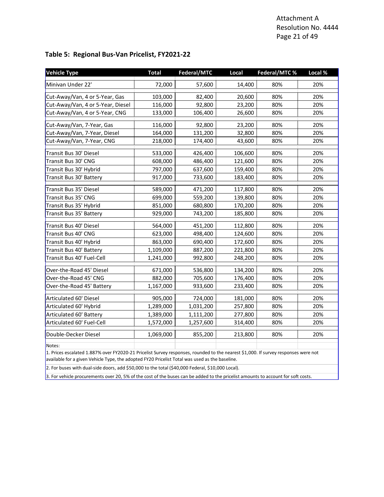Attachment A Resolution No. 4444 Page 21 of 49

## **Vehicle Type Total Federal/MTC Local Federal/MTC % Local %** Minivan Under 22' 72,000 57,600 14,400 80% 20% Cut-Away/Van, 4 or 5-Year, Gas  $\begin{array}{|c|c|c|c|c|c|c|c|} \hline \text{C} & \text{C} & \text{C} & \text{C} & \text{C} & \text{C} & \text{C} & \text{C} & \text{C} & \text{C} & \text{C} & \text{C} & \text{C} & \text{C} & \text{C} & \text{C} & \text{C} & \text{C} & \text{C} & \text{C} & \text{C} & \text{C} & \text{C} & \text{C} & \text{C} & \text{C} & \text{C} & \$ Cut-Away/Van, 4 or 5-Year, Diesel | 116,000 | 92,800 | 23,200 | 80% | 20% Cut-Away/Van, 4 or 5-Year, CNG  $\begin{array}{|c|c|c|c|c|c|c|c|c|} \hline \end{array}$  133,000  $\begin{array}{|c|c|c|c|c|c|} \hline \end{array}$  106,400  $\begin{array}{|c|c|c|c|c|c|} \hline \end{array}$  20%  $\begin{array}{|c|c|c|c|c|c|c|c|c|c|} \hline \end{array}$ Cut-Away/Van, 7-Year, Gas  $\begin{array}{ccc} | & 116,000 & 92,800 & 23,200 & 80\% \end{array}$  20% Cut‐Away/Van, 7‐Year, Diesel 164,000 131,200 32,800 80% 20% Cut-Away/Van, 7-Year, CNG | 218,000 | 174,400 | 43,600 | 80% | 20% Transit Bus 30' Diesel 533,000 426,400 106,600 80% 20% Transit Bus 30' CNG 608,000 | 486,400 | 121,600 | 80% | 20% Transit Bus 30' Hybrid 797,000 637,600 159,400 80% 20% Transit Bus 30' Battery 1917,000 | 733,600 | 183,400 | 80% | 20% Transit Bus 35' Diesel 589,000 471,200 117,800 80% 20% Transit Bus 35' CNG 699,000 | 559,200 | 139,800 | 80% | 20% Transit Bus 35' Hybrid 851,000 680,800 170,200 80% 20% Transit Bus 35' Battery 929,000 | 743,200 | 185,800 | 80% | 20% Transit Bus 40' Diesel 564,000 451,200 112,800 80% 20% Transit Bus 40' CNG 623,000 498,400 124,600 80% 20% Transit Bus 40' Hybrid 863,000 690,400 172,600 80% 20% Transit Bus 40' Battery | 1,109,000 | 887,200 | 221,800 | 80% | 20% Transit Bus 40' Fuel‐Cell 1,241,000 992,800 248,200 80% 20% Over‐the‐Road 45' Diesel 671,000 536,800 134,200 80% 20% Over‐the‐Road 45' CNG 882,000 705,600 176,400 80% 20% Over‐the‐Road 45' Battery 1,167,000 933,600 233,400 80% 20% Articulated 60' Diesel 905,000 724,000 181,000 80% 20% Articulated 60' Hybrid 1,289,000 1,031,200 257,800 80% 20% Articulated 60' Battery 1,389,000 1,111,200 277,800 80% 20%

#### **Table 5: Regional Bus‐Van Pricelist, FY2021‐22**

1. Prices escalated 1.887% over FY2020‐21 Pricelist Survey responses, rounded to the nearest \$1,000. If survey responses were not available for a given Vehicle Type, the adopted FY20 Pricelist Total was used as the baseline.

Articulated 60' Fuel-Cell  $\begin{array}{|c|c|c|c|c|c|}\n\hline\n&1,572,000 & 1,257,600 & 314,400 & 80\% & 20\% \hline\n\end{array}$ Double‐Decker Diesel 1,069,000 855,200 213,800 80% 20%

2. For buses with dual‐side doors, add \$50,000 to the total (\$40,000 Federal, \$10,000 Local).

Notes: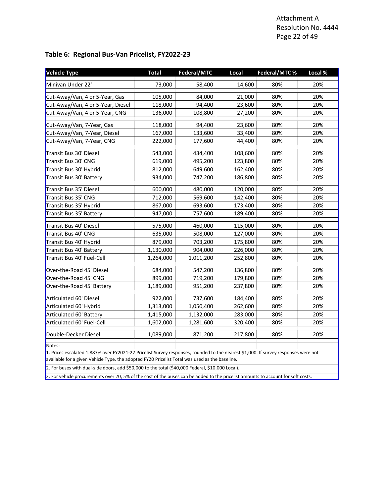Attachment A Resolution No. 4444 Page 22 of 49

# **Table 6: Regional Bus‐Van Pricelist, FY2022‐23**

| <b>Vehicle Type</b>               | <b>Total</b> | Federal/MTC | Local   | Federal/MTC % | Local % |
|-----------------------------------|--------------|-------------|---------|---------------|---------|
|                                   |              |             |         |               |         |
| Minivan Under 22'                 | 73,000       | 58,400      | 14,600  | 80%           | 20%     |
| Cut-Away/Van, 4 or 5-Year, Gas    | 105,000      | 84,000      | 21,000  | 80%           | 20%     |
| Cut-Away/Van, 4 or 5-Year, Diesel | 118,000      | 94,400      | 23,600  | 80%           | 20%     |
| Cut-Away/Van, 4 or 5-Year, CNG    | 136,000      | 108,800     | 27,200  | 80%           | 20%     |
| Cut-Away/Van, 7-Year, Gas         | 118,000      | 94,400      | 23,600  | 80%           | 20%     |
| Cut-Away/Van, 7-Year, Diesel      | 167,000      | 133,600     | 33,400  | 80%           | 20%     |
| Cut-Away/Van, 7-Year, CNG         | 222,000      | 177,600     | 44,400  | 80%           | 20%     |
| Transit Bus 30' Diesel            | 543,000      | 434,400     | 108,600 | 80%           | 20%     |
| Transit Bus 30' CNG               | 619,000      | 495,200     | 123,800 | 80%           | 20%     |
| Transit Bus 30' Hybrid            | 812,000      | 649,600     | 162,400 | 80%           | 20%     |
| Transit Bus 30' Battery           | 934,000      | 747,200     | 186,800 | 80%           | 20%     |
| Transit Bus 35' Diesel            | 600,000      | 480,000     | 120,000 | 80%           | 20%     |
| Transit Bus 35' CNG               | 712,000      | 569,600     | 142,400 | 80%           | 20%     |
| Transit Bus 35' Hybrid            | 867,000      | 693,600     | 173,400 | 80%           | 20%     |
| Transit Bus 35' Battery           | 947,000      | 757,600     | 189,400 | 80%           | 20%     |
| Transit Bus 40' Diesel            | 575,000      | 460,000     | 115,000 | 80%           | 20%     |
| Transit Bus 40' CNG               | 635,000      | 508,000     | 127,000 | 80%           | 20%     |
| Transit Bus 40' Hybrid            | 879,000      | 703,200     | 175,800 | 80%           | 20%     |
| Transit Bus 40' Battery           | 1,130,000    | 904,000     | 226,000 | 80%           | 20%     |
| Transit Bus 40' Fuel-Cell         | 1,264,000    | 1,011,200   | 252,800 | 80%           | 20%     |
| Over-the-Road 45' Diesel          | 684,000      | 547,200     | 136,800 | 80%           | 20%     |
| Over-the-Road 45' CNG             | 899,000      | 719,200     | 179,800 | 80%           | 20%     |
| Over-the-Road 45' Battery         | 1,189,000    | 951,200     | 237,800 | 80%           | 20%     |
| Articulated 60' Diesel            | 922,000      | 737,600     | 184,400 | 80%           | 20%     |
| Articulated 60' Hybrid            | 1,313,000    | 1,050,400   | 262,600 | 80%           | 20%     |
| Articulated 60' Battery           | 1,415,000    | 1,132,000   | 283,000 | 80%           | 20%     |
| Articulated 60' Fuel-Cell         | 1,602,000    | 1,281,600   | 320,400 | 80%           | 20%     |
| Double-Decker Diesel              | 1,089,000    | 871,200     | 217,800 | 80%           | 20%     |
| Notes:                            |              |             |         |               |         |

1. Prices escalated 1.887% over FY2021‐22 Pricelist Survey responses, rounded to the nearest \$1,000. If survey responses were not available for a given Vehicle Type, the adopted FY20 Pricelist Total was used as the baseline.

2. For buses with dual‐side doors, add \$50,000 to the total (\$40,000 Federal, \$10,000 Local).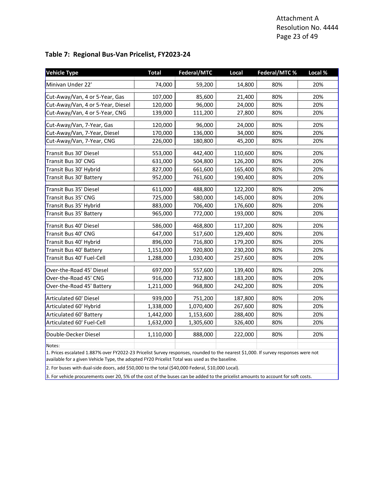Attachment A Resolution No. 4444 Page 23 of 49

### **Table 7: Regional Bus‐Van Pricelist, FY2023‐24**

| <b>Vehicle Type</b>               | <b>Total</b> | Federal/MTC | Local   | Federal/MTC % | Local % |
|-----------------------------------|--------------|-------------|---------|---------------|---------|
| Minivan Under 22'                 | 74,000       | 59,200      | 14,800  | 80%           | 20%     |
|                                   |              |             |         |               |         |
| Cut-Away/Van, 4 or 5-Year, Gas    | 107,000      | 85,600      | 21,400  | 80%           | 20%     |
| Cut-Away/Van, 4 or 5-Year, Diesel | 120,000      | 96,000      | 24,000  | 80%           | 20%     |
| Cut-Away/Van, 4 or 5-Year, CNG    | 139,000      | 111,200     | 27,800  | 80%           | 20%     |
| Cut-Away/Van, 7-Year, Gas         | 120,000      | 96,000      | 24,000  | 80%           | 20%     |
| Cut-Away/Van, 7-Year, Diesel      | 170,000      | 136,000     | 34,000  | 80%           | 20%     |
| Cut-Away/Van, 7-Year, CNG         | 226,000      | 180,800     | 45,200  | 80%           | 20%     |
| Transit Bus 30' Diesel            | 553,000      | 442,400     | 110,600 | 80%           | 20%     |
| Transit Bus 30' CNG               | 631,000      | 504,800     | 126,200 | 80%           | 20%     |
| Transit Bus 30' Hybrid            | 827,000      | 661,600     | 165,400 | 80%           | 20%     |
| Transit Bus 30' Battery           | 952,000      | 761,600     | 190,400 | 80%           | 20%     |
| Transit Bus 35' Diesel            | 611,000      | 488,800     | 122,200 | 80%           | 20%     |
| Transit Bus 35' CNG               | 725,000      | 580,000     | 145,000 | 80%           | 20%     |
| Transit Bus 35' Hybrid            | 883,000      | 706,400     | 176,600 | 80%           | 20%     |
| Transit Bus 35' Battery           | 965,000      | 772,000     | 193,000 | 80%           | 20%     |
| Transit Bus 40' Diesel            | 586,000      | 468,800     | 117,200 | 80%           | 20%     |
| Transit Bus 40' CNG               | 647,000      | 517,600     | 129,400 | 80%           | 20%     |
| Transit Bus 40' Hybrid            | 896,000      | 716,800     | 179,200 | 80%           | 20%     |
| Transit Bus 40' Battery           | 1,151,000    | 920,800     | 230,200 | 80%           | 20%     |
| Transit Bus 40' Fuel-Cell         | 1,288,000    | 1,030,400   | 257,600 | 80%           | 20%     |
| Over-the-Road 45' Diesel          | 697,000      | 557,600     | 139,400 | 80%           | 20%     |
| Over-the-Road 45' CNG             | 916,000      | 732,800     | 183,200 | 80%           | 20%     |
| Over-the-Road 45' Battery         | 1,211,000    | 968,800     | 242,200 | 80%           | 20%     |
| Articulated 60' Diesel            | 939,000      | 751,200     | 187,800 | 80%           | 20%     |
| Articulated 60' Hybrid            | 1,338,000    | 1,070,400   | 267,600 | 80%           | 20%     |
| Articulated 60' Battery           | 1,442,000    | 1,153,600   | 288,400 | 80%           | 20%     |
| Articulated 60' Fuel-Cell         | 1,632,000    | 1,305,600   | 326,400 | 80%           | 20%     |
| Double-Decker Diesel              | 1,110,000    | 888,000     | 222,000 | 80%           | 20%     |
|                                   |              |             |         |               |         |
| Notes:                            |              |             |         |               |         |

1. Prices escalated 1.887% over FY2022-23 Pricelist Survey responses, rounded to the nearest \$1,000. If survey responses were not available for a given Vehicle Type, the adopted FY20 Pricelist Total was used as the baseline.

2. For buses with dual-side doors, add \$50,000 to the total (\$40,000 Federal, \$10,000 Local).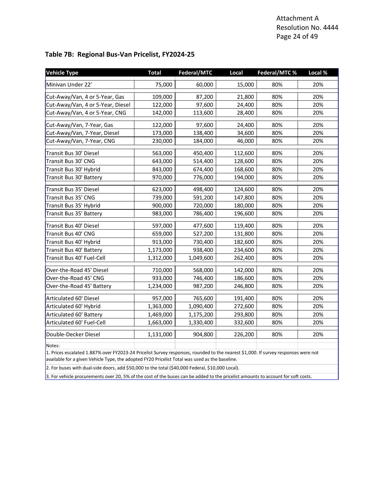Attachment A Resolution No. 4444 Page 24 of 49

### **Table 7B: Regional Bus‐Van Pricelist, FY2024‐25**

| <b>Vehicle Type</b>               | <b>Total</b> | Federal/MTC | Local   | Federal/MTC % | Local % |
|-----------------------------------|--------------|-------------|---------|---------------|---------|
| Minivan Under 22'                 | 75,000       | 60,000      | 15,000  | 80%           | 20%     |
|                                   |              |             |         |               |         |
| Cut-Away/Van, 4 or 5-Year, Gas    | 109,000      | 87,200      | 21,800  | 80%           | 20%     |
| Cut-Away/Van, 4 or 5-Year, Diesel | 122,000      | 97,600      | 24,400  | 80%           | 20%     |
| Cut-Away/Van, 4 or 5-Year, CNG    | 142,000      | 113,600     | 28,400  | 80%           | 20%     |
| Cut-Away/Van, 7-Year, Gas         | 122,000      | 97,600      | 24,400  | 80%           | 20%     |
| Cut-Away/Van, 7-Year, Diesel      | 173,000      | 138,400     | 34,600  | 80%           | 20%     |
| Cut-Away/Van, 7-Year, CNG         | 230,000      | 184,000     | 46,000  | 80%           | 20%     |
| Transit Bus 30' Diesel            | 563,000      | 450,400     | 112,600 | 80%           | 20%     |
| Transit Bus 30' CNG               | 643,000      | 514,400     | 128,600 | 80%           | 20%     |
| Transit Bus 30' Hybrid            | 843,000      | 674,400     | 168,600 | 80%           | 20%     |
| Transit Bus 30' Battery           | 970,000      | 776,000     | 194,000 | 80%           | 20%     |
| Transit Bus 35' Diesel            | 623,000      | 498,400     | 124,600 | 80%           | 20%     |
| Transit Bus 35' CNG               | 739,000      | 591,200     | 147,800 | 80%           | 20%     |
| Transit Bus 35' Hybrid            | 900,000      | 720,000     | 180,000 | 80%           | 20%     |
| Transit Bus 35' Battery           | 983,000      | 786,400     | 196,600 | 80%           | 20%     |
| Transit Bus 40' Diesel            | 597,000      | 477,600     | 119,400 | 80%           | 20%     |
| Transit Bus 40' CNG               | 659,000      | 527,200     | 131,800 | 80%           | 20%     |
| Transit Bus 40' Hybrid            | 913,000      | 730,400     | 182,600 | 80%           | 20%     |
| Transit Bus 40' Battery           | 1,173,000    | 938,400     | 234,600 | 80%           | 20%     |
| Transit Bus 40' Fuel-Cell         | 1,312,000    | 1,049,600   | 262,400 | 80%           | 20%     |
| Over-the-Road 45' Diesel          | 710,000      | 568,000     | 142,000 | 80%           | 20%     |
| Over-the-Road 45' CNG             | 933,000      | 746,400     | 186,600 | 80%           | 20%     |
| Over-the-Road 45' Battery         | 1,234,000    | 987,200     | 246,800 | 80%           | 20%     |
| Articulated 60' Diesel            | 957,000      | 765,600     | 191,400 | 80%           | 20%     |
| Articulated 60' Hybrid            | 1,363,000    | 1,090,400   | 272,600 | 80%           | 20%     |
| Articulated 60' Battery           | 1,469,000    | 1,175,200   | 293,800 | 80%           | 20%     |
| Articulated 60' Fuel-Cell         | 1,663,000    | 1,330,400   | 332,600 | 80%           | 20%     |
| Double-Decker Diesel              | 1,131,000    | 904,800     | 226,200 | 80%           | 20%     |
| Notes:                            |              |             |         |               |         |

1. Prices escalated 1.887% over FY2023‐24 Pricelist Survey responses, rounded to the nearest \$1,000. If survey responses were not available for a given Vehicle Type, the adopted FY20 Pricelist Total was used as the baseline.

2. For buses with dual-side doors, add \$50,000 to the total (\$40,000 Federal, \$10,000 Local).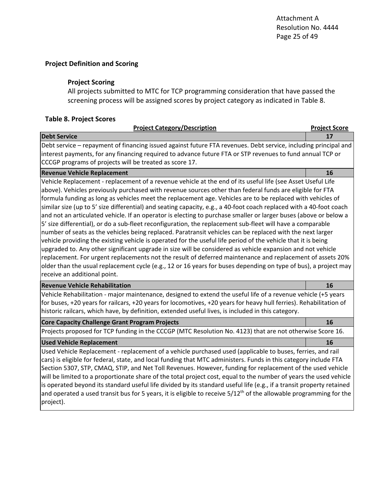## **Project Definition and Scoring**

## **Project Scoring**

All projects submitted to MTC for TCP programming consideration that have passed the screening process will be assigned scores by project category as indicated in Table 8.

## **Table 8. Project Scores**

| <b>Project Category/Description</b>                                                                                                                                                                                                                                                                                                                                                                                                                                                                                                                                                                                                                                                                                                                                                                                                                                                                                                                                                                                                                                                                                                                                                                                                                                                                        | <b>Project Score</b> |
|------------------------------------------------------------------------------------------------------------------------------------------------------------------------------------------------------------------------------------------------------------------------------------------------------------------------------------------------------------------------------------------------------------------------------------------------------------------------------------------------------------------------------------------------------------------------------------------------------------------------------------------------------------------------------------------------------------------------------------------------------------------------------------------------------------------------------------------------------------------------------------------------------------------------------------------------------------------------------------------------------------------------------------------------------------------------------------------------------------------------------------------------------------------------------------------------------------------------------------------------------------------------------------------------------------|----------------------|
| <b>Debt Service</b>                                                                                                                                                                                                                                                                                                                                                                                                                                                                                                                                                                                                                                                                                                                                                                                                                                                                                                                                                                                                                                                                                                                                                                                                                                                                                        | 17                   |
| Debt service - repayment of financing issued against future FTA revenues. Debt service, including principal and<br>interest payments, for any financing required to advance future FTA or STP revenues to fund annual TCP or<br>CCCGP programs of projects will be treated as score 17.                                                                                                                                                                                                                                                                                                                                                                                                                                                                                                                                                                                                                                                                                                                                                                                                                                                                                                                                                                                                                    |                      |
| <b>Revenue Vehicle Replacement</b>                                                                                                                                                                                                                                                                                                                                                                                                                                                                                                                                                                                                                                                                                                                                                                                                                                                                                                                                                                                                                                                                                                                                                                                                                                                                         | 16                   |
| Vehicle Replacement - replacement of a revenue vehicle at the end of its useful life (see Asset Useful Life<br>above). Vehicles previously purchased with revenue sources other than federal funds are eligible for FTA<br>formula funding as long as vehicles meet the replacement age. Vehicles are to be replaced with vehicles of<br>similar size (up to 5' size differential) and seating capacity, e.g., a 40-foot coach replaced with a 40-foot coach<br>and not an articulated vehicle. If an operator is electing to purchase smaller or larger buses (above or below a<br>5' size differential), or do a sub-fleet reconfiguration, the replacement sub-fleet will have a comparable<br>number of seats as the vehicles being replaced. Paratransit vehicles can be replaced with the next larger<br>vehicle providing the existing vehicle is operated for the useful life period of the vehicle that it is being<br>upgraded to. Any other significant upgrade in size will be considered as vehicle expansion and not vehicle<br>replacement. For urgent replacements not the result of deferred maintenance and replacement of assets 20%<br>older than the usual replacement cycle (e.g., 12 or 16 years for buses depending on type of bus), a project may<br>receive an additional point. |                      |
| <b>Revenue Vehicle Rehabilitation</b>                                                                                                                                                                                                                                                                                                                                                                                                                                                                                                                                                                                                                                                                                                                                                                                                                                                                                                                                                                                                                                                                                                                                                                                                                                                                      | 16                   |
| Vehicle Rehabilitation - major maintenance, designed to extend the useful life of a revenue vehicle (+5 years<br>for buses, +20 years for railcars, +20 years for locomotives, +20 years for heavy hull ferries). Rehabilitation of<br>historic railcars, which have, by definition, extended useful lives, is included in this category.                                                                                                                                                                                                                                                                                                                                                                                                                                                                                                                                                                                                                                                                                                                                                                                                                                                                                                                                                                  |                      |
| <b>Core Capacity Challenge Grant Program Projects</b>                                                                                                                                                                                                                                                                                                                                                                                                                                                                                                                                                                                                                                                                                                                                                                                                                                                                                                                                                                                                                                                                                                                                                                                                                                                      | 16                   |
| Projects proposed for TCP funding in the CCCGP (MTC Resolution No. 4123) that are not otherwise Score 16.                                                                                                                                                                                                                                                                                                                                                                                                                                                                                                                                                                                                                                                                                                                                                                                                                                                                                                                                                                                                                                                                                                                                                                                                  |                      |
| <b>Used Vehicle Replacement</b>                                                                                                                                                                                                                                                                                                                                                                                                                                                                                                                                                                                                                                                                                                                                                                                                                                                                                                                                                                                                                                                                                                                                                                                                                                                                            | 16                   |
| Used Vehicle Replacement - replacement of a vehicle purchased used (applicable to buses, ferries, and rail<br>cars) is eligible for federal, state, and local funding that MTC administers. Funds in this category include FTA<br>Section 5307, STP, CMAQ, STIP, and Net Toll Revenues. However, funding for replacement of the used vehicle<br>will be limited to a proportionate share of the total project cost, equal to the number of years the used vehicle                                                                                                                                                                                                                                                                                                                                                                                                                                                                                                                                                                                                                                                                                                                                                                                                                                          |                      |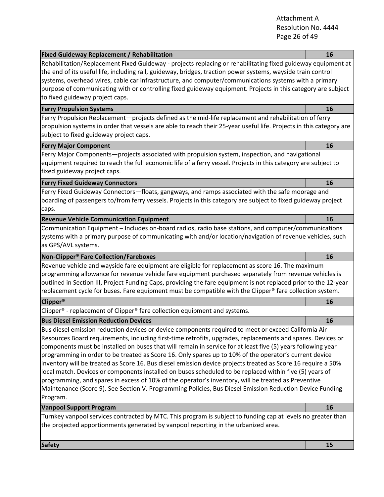Attachment A Resolution No. 4444 Page 26 of 49

| <b>Fixed Guideway Replacement / Rehabilitation</b>                                                                                                                                                                                                                                                                                                                                                                                                                                                                                                                                                                                                                                                                                                                                                                                                                                                      | 16 |
|---------------------------------------------------------------------------------------------------------------------------------------------------------------------------------------------------------------------------------------------------------------------------------------------------------------------------------------------------------------------------------------------------------------------------------------------------------------------------------------------------------------------------------------------------------------------------------------------------------------------------------------------------------------------------------------------------------------------------------------------------------------------------------------------------------------------------------------------------------------------------------------------------------|----|
| Rehabilitation/Replacement Fixed Guideway - projects replacing or rehabilitating fixed guideway equipment at<br>the end of its useful life, including rail, guideway, bridges, traction power systems, wayside train control<br>systems, overhead wires, cable car infrastructure, and computer/communications systems with a primary<br>purpose of communicating with or controlling fixed guideway equipment. Projects in this category are subject<br>to fixed guideway project caps.                                                                                                                                                                                                                                                                                                                                                                                                                |    |
| <b>Ferry Propulsion Systems</b>                                                                                                                                                                                                                                                                                                                                                                                                                                                                                                                                                                                                                                                                                                                                                                                                                                                                         | 16 |
| Ferry Propulsion Replacement—projects defined as the mid-life replacement and rehabilitation of ferry<br>propulsion systems in order that vessels are able to reach their 25-year useful life. Projects in this category are<br>subject to fixed guideway project caps.                                                                                                                                                                                                                                                                                                                                                                                                                                                                                                                                                                                                                                 |    |
| <b>Ferry Major Component</b>                                                                                                                                                                                                                                                                                                                                                                                                                                                                                                                                                                                                                                                                                                                                                                                                                                                                            | 16 |
| Ferry Major Components—projects associated with propulsion system, inspection, and navigational<br>equipment required to reach the full economic life of a ferry vessel. Projects in this category are subject to<br>fixed guideway project caps.                                                                                                                                                                                                                                                                                                                                                                                                                                                                                                                                                                                                                                                       |    |
| <b>Ferry Fixed Guideway Connectors</b>                                                                                                                                                                                                                                                                                                                                                                                                                                                                                                                                                                                                                                                                                                                                                                                                                                                                  | 16 |
| Ferry Fixed Guideway Connectors—floats, gangways, and ramps associated with the safe moorage and<br>boarding of passengers to/from ferry vessels. Projects in this category are subject to fixed guideway project<br>caps.                                                                                                                                                                                                                                                                                                                                                                                                                                                                                                                                                                                                                                                                              |    |
| <b>Revenue Vehicle Communication Equipment</b>                                                                                                                                                                                                                                                                                                                                                                                                                                                                                                                                                                                                                                                                                                                                                                                                                                                          | 16 |
| Communication Equipment - Includes on-board radios, radio base stations, and computer/communications<br>systems with a primary purpose of communicating with and/or location/navigation of revenue vehicles, such<br>as GPS/AVL systems.                                                                                                                                                                                                                                                                                                                                                                                                                                                                                                                                                                                                                                                                |    |
| Non-Clipper <sup>®</sup> Fare Collection/Fareboxes                                                                                                                                                                                                                                                                                                                                                                                                                                                                                                                                                                                                                                                                                                                                                                                                                                                      | 16 |
| Revenue vehicle and wayside fare equipment are eligible for replacement as score 16. The maximum<br>programming allowance for revenue vehicle fare equipment purchased separately from revenue vehicles is<br>outlined in Section III, Project Funding Caps, providing the fare equipment is not replaced prior to the 12-year<br>replacement cycle for buses. Fare equipment must be compatible with the Clipper® fare collection system.                                                                                                                                                                                                                                                                                                                                                                                                                                                              |    |
| Clipper <sup>®</sup>                                                                                                                                                                                                                                                                                                                                                                                                                                                                                                                                                                                                                                                                                                                                                                                                                                                                                    | 16 |
| Clipper <sup>®</sup> - replacement of Clipper <sup>®</sup> fare collection equipment and systems.                                                                                                                                                                                                                                                                                                                                                                                                                                                                                                                                                                                                                                                                                                                                                                                                       |    |
| <b>Bus Diesel Emission Reduction Devices</b>                                                                                                                                                                                                                                                                                                                                                                                                                                                                                                                                                                                                                                                                                                                                                                                                                                                            | 16 |
| Bus diesel emission reduction devices or device components required to meet or exceed California Air<br>Resources Board requirements, including first-time retrofits, upgrades, replacements and spares. Devices or<br>components must be installed on buses that will remain in service for at least five (5) years following year<br>programming in order to be treated as Score 16. Only spares up to 10% of the operator's current device<br>inventory will be treated as Score 16. Bus diesel emission device projects treated as Score 16 require a 50%<br>local match. Devices or components installed on buses scheduled to be replaced within five (5) years of<br>programming, and spares in excess of 10% of the operator's inventory, will be treated as Preventive<br>Maintenance (Score 9). See Section V. Programming Policies, Bus Diesel Emission Reduction Device Funding<br>Program. |    |
| <b>Vanpool Support Program</b>                                                                                                                                                                                                                                                                                                                                                                                                                                                                                                                                                                                                                                                                                                                                                                                                                                                                          | 16 |
| Turnkey vanpool services contracted by MTC. This program is subject to funding cap at levels no greater than<br>the projected apportionments generated by vanpool reporting in the urbanized area.                                                                                                                                                                                                                                                                                                                                                                                                                                                                                                                                                                                                                                                                                                      |    |
| <b>Safety</b>                                                                                                                                                                                                                                                                                                                                                                                                                                                                                                                                                                                                                                                                                                                                                                                                                                                                                           | 15 |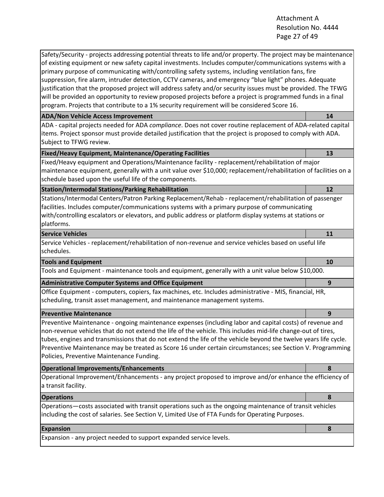Attachment A Resolution No. 4444 Page 27 of 49

| Safety/Security - projects addressing potential threats to life and/or property. The project may be maintenance<br>of existing equipment or new safety capital investments. Includes computer/communications systems with a<br>primary purpose of communicating with/controlling safety systems, including ventilation fans, fire<br>suppression, fire alarm, intruder detection, CCTV cameras, and emergency "blue light" phones. Adequate<br>justification that the proposed project will address safety and/or security issues must be provided. The TFWG<br>will be provided an opportunity to review proposed projects before a project is programmed funds in a final<br>program. Projects that contribute to a 1% security requirement will be considered Score 16. |    |
|----------------------------------------------------------------------------------------------------------------------------------------------------------------------------------------------------------------------------------------------------------------------------------------------------------------------------------------------------------------------------------------------------------------------------------------------------------------------------------------------------------------------------------------------------------------------------------------------------------------------------------------------------------------------------------------------------------------------------------------------------------------------------|----|
| <b>ADA/Non Vehicle Access Improvement</b>                                                                                                                                                                                                                                                                                                                                                                                                                                                                                                                                                                                                                                                                                                                                  | 14 |
| ADA - capital projects needed for ADA compliance. Does not cover routine replacement of ADA-related capital<br>items. Project sponsor must provide detailed justification that the project is proposed to comply with ADA.<br>Subject to TFWG review.                                                                                                                                                                                                                                                                                                                                                                                                                                                                                                                      |    |
| <b>Fixed/Heavy Equipment, Maintenance/Operating Facilities</b>                                                                                                                                                                                                                                                                                                                                                                                                                                                                                                                                                                                                                                                                                                             | 13 |
| Fixed/Heavy equipment and Operations/Maintenance facility - replacement/rehabilitation of major<br>maintenance equipment, generally with a unit value over \$10,000; replacement/rehabilitation of facilities on a<br>schedule based upon the useful life of the components.                                                                                                                                                                                                                                                                                                                                                                                                                                                                                               |    |
| <b>Station/Intermodal Stations/Parking Rehabilitation</b>                                                                                                                                                                                                                                                                                                                                                                                                                                                                                                                                                                                                                                                                                                                  | 12 |
| Stations/Intermodal Centers/Patron Parking Replacement/Rehab - replacement/rehabilitation of passenger<br>facilities. Includes computer/communications systems with a primary purpose of communicating<br>with/controlling escalators or elevators, and public address or platform display systems at stations or<br>platforms.                                                                                                                                                                                                                                                                                                                                                                                                                                            |    |
| <b>Service Vehicles</b>                                                                                                                                                                                                                                                                                                                                                                                                                                                                                                                                                                                                                                                                                                                                                    | 11 |
| Service Vehicles - replacement/rehabilitation of non-revenue and service vehicles based on useful life<br>schedules.                                                                                                                                                                                                                                                                                                                                                                                                                                                                                                                                                                                                                                                       |    |
| <b>Tools and Equipment</b>                                                                                                                                                                                                                                                                                                                                                                                                                                                                                                                                                                                                                                                                                                                                                 | 10 |
| Tools and Equipment - maintenance tools and equipment, generally with a unit value below \$10,000.                                                                                                                                                                                                                                                                                                                                                                                                                                                                                                                                                                                                                                                                         |    |
| <b>Administrative Computer Systems and Office Equipment</b>                                                                                                                                                                                                                                                                                                                                                                                                                                                                                                                                                                                                                                                                                                                | 9  |
| Office Equipment - computers, copiers, fax machines, etc. Includes administrative - MIS, financial, HR,<br>scheduling, transit asset management, and maintenance management systems.                                                                                                                                                                                                                                                                                                                                                                                                                                                                                                                                                                                       |    |
| <b>Preventive Maintenance</b>                                                                                                                                                                                                                                                                                                                                                                                                                                                                                                                                                                                                                                                                                                                                              | 9  |
| Preventive Maintenance - ongoing maintenance expenses (including labor and capital costs) of revenue and<br>non-revenue vehicles that do not extend the life of the vehicle. This includes mid-life change-out of tires,<br>tubes, engines and transmissions that do not extend the life of the vehicle beyond the twelve years life cycle.<br>Preventive Maintenance may be treated as Score 16 under certain circumstances; see Section V. Programming<br>Policies, Preventive Maintenance Funding.                                                                                                                                                                                                                                                                      |    |
| <b>Operational Improvements/Enhancements</b>                                                                                                                                                                                                                                                                                                                                                                                                                                                                                                                                                                                                                                                                                                                               | 8  |
| Operational Improvement/Enhancements - any project proposed to improve and/or enhance the efficiency of<br>a transit facility.                                                                                                                                                                                                                                                                                                                                                                                                                                                                                                                                                                                                                                             |    |
| <b>Operations</b>                                                                                                                                                                                                                                                                                                                                                                                                                                                                                                                                                                                                                                                                                                                                                          | 8  |
| Operations—costs associated with transit operations such as the ongoing maintenance of transit vehicles<br>including the cost of salaries. See Section V, Limited Use of FTA Funds for Operating Purposes.                                                                                                                                                                                                                                                                                                                                                                                                                                                                                                                                                                 |    |
| <b>Expansion</b>                                                                                                                                                                                                                                                                                                                                                                                                                                                                                                                                                                                                                                                                                                                                                           | 8  |
| Expansion - any project needed to support expanded service levels.                                                                                                                                                                                                                                                                                                                                                                                                                                                                                                                                                                                                                                                                                                         |    |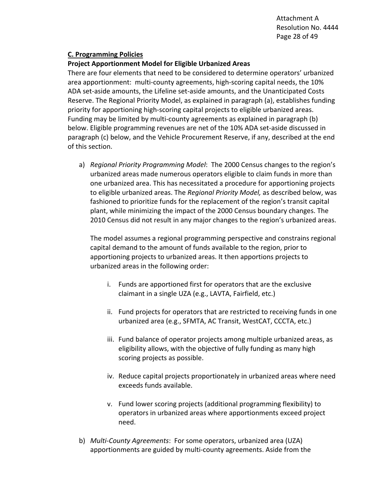Attachment A Resolution No. 4444 Page 28 of 49

### **C. Programming Policies**

### **Project Apportionment Model for Eligible Urbanized Areas**

There are four elements that need to be considered to determine operators' urbanized area apportionment: multi-county agreements, high-scoring capital needs, the 10% ADA set‐aside amounts, the Lifeline set‐aside amounts, and the Unanticipated Costs Reserve. The Regional Priority Model, as explained in paragraph (a), establishes funding priority for apportioning high‐scoring capital projects to eligible urbanized areas. Funding may be limited by multi‐county agreements as explained in paragraph (b) below. Eligible programming revenues are net of the 10% ADA set-aside discussed in paragraph (c) below, and the Vehicle Procurement Reserve, if any, described at the end of this section.

a) *Regional Priority Programming Model*: The 2000 Census changes to the region's urbanized areas made numerous operators eligible to claim funds in more than one urbanized area. This has necessitated a procedure for apportioning projects to eligible urbanized areas. The *Regional Priority Model,* as described below, was fashioned to prioritize funds for the replacement of the region's transit capital plant, while minimizing the impact of the 2000 Census boundary changes. The 2010 Census did not result in any major changes to the region's urbanized areas.

The model assumes a regional programming perspective and constrains regional capital demand to the amount of funds available to the region, prior to apportioning projects to urbanized areas. It then apportions projects to urbanized areas in the following order:

- i. Funds are apportioned first for operators that are the exclusive claimant in a single UZA (e.g., LAVTA, Fairfield, etc.)
- ii. Fund projects for operators that are restricted to receiving funds in one urbanized area (e.g., SFMTA, AC Transit, WestCAT, CCCTA, etc.)
- iii. Fund balance of operator projects among multiple urbanized areas, as eligibility allows, with the objective of fully funding as many high scoring projects as possible.
- iv. Reduce capital projects proportionately in urbanized areas where need exceeds funds available.
- v. Fund lower scoring projects (additional programming flexibility) to operators in urbanized areas where apportionments exceed project need.
- b) *Multi‐County Agreements*: For some operators, urbanized area (UZA) apportionments are guided by multi‐county agreements. Aside from the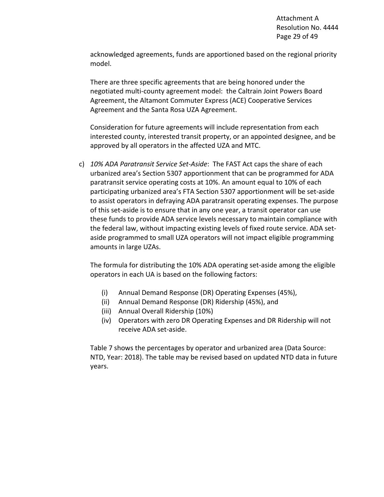acknowledged agreements, funds are apportioned based on the regional priority model.

There are three specific agreements that are being honored under the negotiated multi‐county agreement model: the Caltrain Joint Powers Board Agreement, the Altamont Commuter Express (ACE) Cooperative Services Agreement and the Santa Rosa UZA Agreement.

Consideration for future agreements will include representation from each interested county, interested transit property, or an appointed designee, and be approved by all operators in the affected UZA and MTC.

c) *10% ADA Paratransit Service Set‐Aside*: The FAST Act caps the share of each urbanized area's Section 5307 apportionment that can be programmed for ADA paratransit service operating costs at 10%. An amount equal to 10% of each participating urbanized area's FTA Section 5307 apportionment will be set‐aside to assist operators in defraying ADA paratransit operating expenses. The purpose of this set‐aside is to ensure that in any one year, a transit operator can use these funds to provide ADA service levels necessary to maintain compliance with the federal law, without impacting existing levels of fixed route service. ADA set‐ aside programmed to small UZA operators will not impact eligible programming amounts in large UZAs.

The formula for distributing the 10% ADA operating set‐aside among the eligible operators in each UA is based on the following factors:

- (i) Annual Demand Response (DR) Operating Expenses (45%),
- (ii) Annual Demand Response (DR) Ridership (45%), and
- (iii) Annual Overall Ridership (10%)
- (iv) Operators with zero DR Operating Expenses and DR Ridership will not receive ADA set‐aside.

Table 7 shows the percentages by operator and urbanized area (Data Source: NTD, Year: 2018). The table may be revised based on updated NTD data in future years.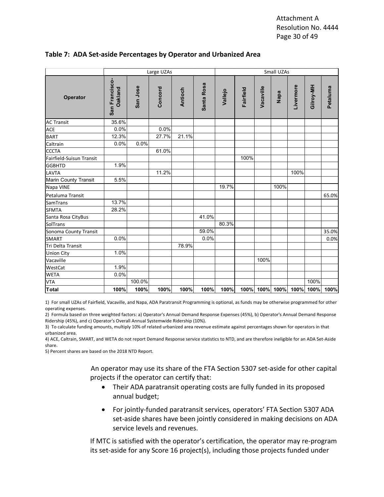Attachment A Resolution No. 4444 Page 30 of 49

|                             |                           |          | Large UZAs |         |            |         |           |           | Small UZAs |                |           |          |
|-----------------------------|---------------------------|----------|------------|---------|------------|---------|-----------|-----------|------------|----------------|-----------|----------|
| Operator                    | San Francisco-<br>Oakland | San Jose | Concord    | Antioch | Santa Rosa | Vallejo | Fairfield | Vacaville | Napa       | Livermore      | Gilroy-MH | Petaluma |
| <b>AC Transit</b>           | 35.6%                     |          |            |         |            |         |           |           |            |                |           |          |
| <b>ACE</b>                  | 0.0%                      |          | 0.0%       |         |            |         |           |           |            |                |           |          |
| <b>BART</b>                 | 12.3%                     |          | 27.7%      | 21.1%   |            |         |           |           |            |                |           |          |
| Caltrain                    | 0.0%                      | 0.0%     |            |         |            |         |           |           |            |                |           |          |
| <b>CCCTA</b>                |                           |          | 61.0%      |         |            |         |           |           |            |                |           |          |
| Fairfield-Suisun Transit    |                           |          |            |         |            |         | 100%      |           |            |                |           |          |
| <b>GGBHTD</b>               | 1.9%                      |          |            |         |            |         |           |           |            |                |           |          |
| <b>LAVTA</b>                |                           |          | 11.2%      |         |            |         |           |           |            | 100%           |           |          |
| <b>Marin County Transit</b> | 5.5%                      |          |            |         |            |         |           |           |            |                |           |          |
| Napa VINE                   |                           |          |            |         |            | 19.7%   |           |           | 100%       |                |           |          |
| Petaluma Transit            |                           |          |            |         |            |         |           |           |            |                |           | 65.0%    |
| SamTrans                    | 13.7%                     |          |            |         |            |         |           |           |            |                |           |          |
| <b>SFMTA</b>                | 28.2%                     |          |            |         |            |         |           |           |            |                |           |          |
| Santa Rosa CityBus          |                           |          |            |         | 41.0%      |         |           |           |            |                |           |          |
| SolTrans                    |                           |          |            |         |            | 80.3%   |           |           |            |                |           |          |
| Sonoma County Transit       |                           |          |            |         | 59.0%      |         |           |           |            |                |           | 35.0%    |
| <b>SMART</b>                | 0.0%                      |          |            |         | 0.0%       |         |           |           |            |                |           | 0.0%     |
| Tri Delta Transit           |                           |          |            | 78.9%   |            |         |           |           |            |                |           |          |
| <b>Union City</b>           | 1.0%                      |          |            |         |            |         |           |           |            |                |           |          |
| Vacaville                   |                           |          |            |         |            |         |           | 100%      |            |                |           |          |
| WestCat                     | 1.9%                      |          |            |         |            |         |           |           |            |                |           |          |
| <b>WETA</b>                 | 0.0%                      |          |            |         |            |         |           |           |            |                |           |          |
| <b>VTA</b>                  |                           | 100.0%   |            |         |            |         |           |           |            |                | 100%      |          |
| Total                       | 100%                      | 100%     | 100%       | 100%    | 100%       | 100%    | 100%      |           |            | 100% 100% 100% | 100%      | 100%     |

### **Table 7: ADA Set‐aside Percentages by Operator and Urbanized Area**

1) For small UZAs of Fairfield, Vacaville, and Napa, ADA Paratransit Programming is optional, as funds may be otherwise programmed for other operating expenses.

2) Formula based on three weighted factors: a) Operator's Annual Demand Response Expenses (45%), b) Operator's Annual Demand Response Ridership (45%), and c) Operator's Overall Annual Systemwide Ridership (10%).

3) To calculate funding amounts, multiply 10% of related urbanized area revenue estimate against percentages shown for operators in that urbanized area.

4) ACE, Caltrain, SMART, and WETA do not report Demand Response service statistics to NTD, and are therefore ineligible for an ADA Set‐Aside share.

5) Percent shares are based on the 2018 NTD Report.

An operator may use its share of the FTA Section 5307 set-aside for other capital projects if the operator can certify that:

- Their ADA paratransit operating costs are fully funded in its proposed annual budget;
- For jointly‐funded paratransit services, operators' FTA Section 5307 ADA set-aside shares have been jointly considered in making decisions on ADA service levels and revenues.

If MTC is satisfied with the operator's certification, the operator may re‐program its set‐aside for any Score 16 project(s), including those projects funded under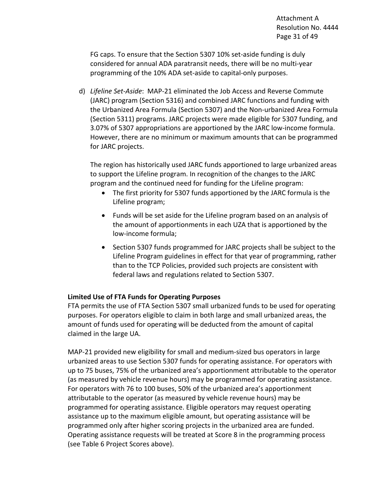Attachment A Resolution No. 4444 Page 31 of 49

FG caps. To ensure that the Section 5307 10% set-aside funding is duly considered for annual ADA paratransit needs, there will be no multi‐year programming of the 10% ADA set‐aside to capital‐only purposes.

d) *Lifeline Set‐Aside*: MAP‐21 eliminated the Job Access and Reverse Commute (JARC) program (Section 5316) and combined JARC functions and funding with the Urbanized Area Formula (Section 5307) and the Non-urbanized Area Formula (Section 5311) programs. JARC projects were made eligible for 5307 funding, and 3.07% of 5307 appropriations are apportioned by the JARC low‐income formula. However, there are no minimum or maximum amounts that can be programmed for JARC projects.

The region has historically used JARC funds apportioned to large urbanized areas to support the Lifeline program. In recognition of the changes to the JARC program and the continued need for funding for the Lifeline program:

- The first priority for 5307 funds apportioned by the JARC formula is the Lifeline program;
- Funds will be set aside for the Lifeline program based on an analysis of the amount of apportionments in each UZA that is apportioned by the low‐income formula;
- Section 5307 funds programmed for JARC projects shall be subject to the Lifeline Program guidelines in effect for that year of programming, rather than to the TCP Policies, provided such projects are consistent with federal laws and regulations related to Section 5307.

## **Limited Use of FTA Funds for Operating Purposes**

FTA permits the use of FTA Section 5307 small urbanized funds to be used for operating purposes. For operators eligible to claim in both large and small urbanized areas, the amount of funds used for operating will be deducted from the amount of capital claimed in the large UA.

MAP‐21 provided new eligibility for small and medium‐sized bus operators in large urbanized areas to use Section 5307 funds for operating assistance. For operators with up to 75 buses, 75% of the urbanized area's apportionment attributable to the operator (as measured by vehicle revenue hours) may be programmed for operating assistance. For operators with 76 to 100 buses, 50% of the urbanized area's apportionment attributable to the operator (as measured by vehicle revenue hours) may be programmed for operating assistance. Eligible operators may request operating assistance up to the maximum eligible amount, but operating assistance will be programmed only after higher scoring projects in the urbanized area are funded. Operating assistance requests will be treated at Score 8 in the programming process (see Table 6 Project Scores above).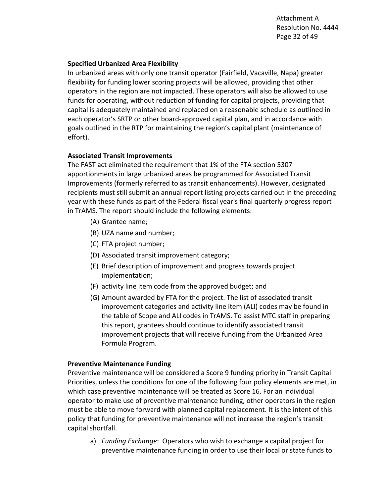Attachment A Resolution No. 4444 Page 32 of 49

### **Specified Urbanized Area Flexibility**

In urbanized areas with only one transit operator (Fairfield, Vacaville, Napa) greater flexibility for funding lower scoring projects will be allowed, providing that other operators in the region are not impacted. These operators will also be allowed to use funds for operating, without reduction of funding for capital projects, providing that capital is adequately maintained and replaced on a reasonable schedule as outlined in each operator's SRTP or other board‐approved capital plan, and in accordance with goals outlined in the RTP for maintaining the region's capital plant (maintenance of effort).

## **Associated Transit Improvements**

The FAST act eliminated the requirement that 1% of the FTA section 5307 apportionments in large urbanized areas be programmed for Associated Transit Improvements (formerly referred to as transit enhancements). However, designated recipients must still submit an annual report listing projects carried out in the preceding year with these funds as part of the Federal fiscal year's final quarterly progress report in TrAMS. The report should include the following elements:

- (A) Grantee name;
- (B) UZA name and number;
- (C) FTA project number;
- (D) Associated transit improvement category;
- (E) Brief description of improvement and progress towards project implementation;
- (F) activity line item code from the approved budget; and
- (G) Amount awarded by FTA for the project. The list of associated transit improvement categories and activity line item (ALI) codes may be found in the table of Scope and ALI codes in TrAMS. To assist MTC staff in preparing this report, grantees should continue to identify associated transit improvement projects that will receive funding from the Urbanized Area Formula Program.

## **Preventive Maintenance Funding**

Preventive maintenance will be considered a Score 9 funding priority in Transit Capital Priorities, unless the conditions for one of the following four policy elements are met, in which case preventive maintenance will be treated as Score 16. For an individual operator to make use of preventive maintenance funding, other operators in the region must be able to move forward with planned capital replacement. It is the intent of this policy that funding for preventive maintenance will not increase the region's transit capital shortfall.

a) *Funding Exchange*: Operators who wish to exchange a capital project for preventive maintenance funding in order to use their local or state funds to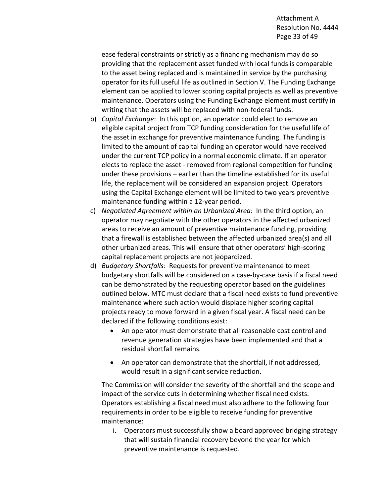ease federal constraints or strictly as a financing mechanism may do so providing that the replacement asset funded with local funds is comparable to the asset being replaced and is maintained in service by the purchasing operator for its full useful life as outlined in Section V. The Funding Exchange element can be applied to lower scoring capital projects as well as preventive maintenance. Operators using the Funding Exchange element must certify in writing that the assets will be replaced with non-federal funds.

- b) *Capital Exchange*: In this option, an operator could elect to remove an eligible capital project from TCP funding consideration for the useful life of the asset in exchange for preventive maintenance funding. The funding is limited to the amount of capital funding an operator would have received under the current TCP policy in a normal economic climate. If an operator elects to replace the asset ‐ removed from regional competition for funding under these provisions – earlier than the timeline established for its useful life, the replacement will be considered an expansion project. Operators using the Capital Exchange element will be limited to two years preventive maintenance funding within a 12‐year period.
- c) *Negotiated Agreement within an Urbanized Area*: In the third option, an operator may negotiate with the other operators in the affected urbanized areas to receive an amount of preventive maintenance funding, providing that a firewall is established between the affected urbanized area(s) and all other urbanized areas. This will ensure that other operators' high‐scoring capital replacement projects are not jeopardized.
- d) *Budgetary Shortfalls*: Requests for preventive maintenance to meet budgetary shortfalls will be considered on a case‐by‐case basis if a fiscal need can be demonstrated by the requesting operator based on the guidelines outlined below. MTC must declare that a fiscal need exists to fund preventive maintenance where such action would displace higher scoring capital projects ready to move forward in a given fiscal year. A fiscal need can be declared if the following conditions exist:
	- An operator must demonstrate that all reasonable cost control and revenue generation strategies have been implemented and that a residual shortfall remains.
	- An operator can demonstrate that the shortfall, if not addressed, would result in a significant service reduction.

The Commission will consider the severity of the shortfall and the scope and impact of the service cuts in determining whether fiscal need exists. Operators establishing a fiscal need must also adhere to the following four requirements in order to be eligible to receive funding for preventive maintenance:

i. Operators must successfully show a board approved bridging strategy that will sustain financial recovery beyond the year for which preventive maintenance is requested.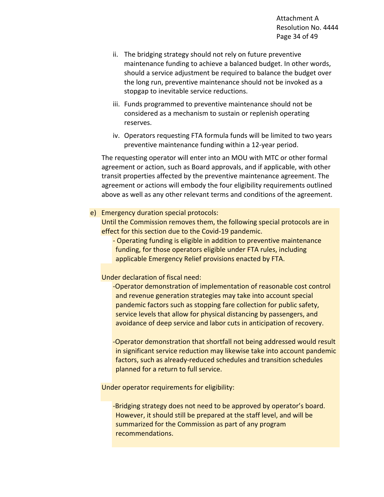Attachment A Resolution No. 4444 Page 34 of 49

- ii. The bridging strategy should not rely on future preventive maintenance funding to achieve a balanced budget. In other words, should a service adjustment be required to balance the budget over the long run, preventive maintenance should not be invoked as a stopgap to inevitable service reductions.
- iii. Funds programmed to preventive maintenance should not be considered as a mechanism to sustain or replenish operating reserves.
- iv. Operators requesting FTA formula funds will be limited to two years preventive maintenance funding within a 12‐year period.

The requesting operator will enter into an MOU with MTC or other formal agreement or action, such as Board approvals, and if applicable, with other transit properties affected by the preventive maintenance agreement. The agreement or actions will embody the four eligibility requirements outlined above as well as any other relevant terms and conditions of the agreement.

### e) Emergency duration special protocols:

Until the Commission removes them, the following special protocols are in effect for this section due to the Covid‐19 pandemic.

‐ Operating funding is eligible in addition to preventive maintenance funding, for those operators eligible under FTA rules, including applicable Emergency Relief provisions enacted by FTA.

Under declaration of fiscal need:

- ‐Operator demonstration of implementation of reasonable cost control and revenue generation strategies may take into account special pandemic factors such as stopping fare collection for public safety, service levels that allow for physical distancing by passengers, and avoidance of deep service and labor cuts in anticipation of recovery.
- ‐Operator demonstration that shortfall not being addressed would result in significant service reduction may likewise take into account pandemic factors, such as already-reduced schedules and transition schedules planned for a return to full service.

Under operator requirements for eligibility:

‐Bridging strategy does not need to be approved by operator's board. However, it should still be prepared at the staff level, and will be summarized for the Commission as part of any program recommendations.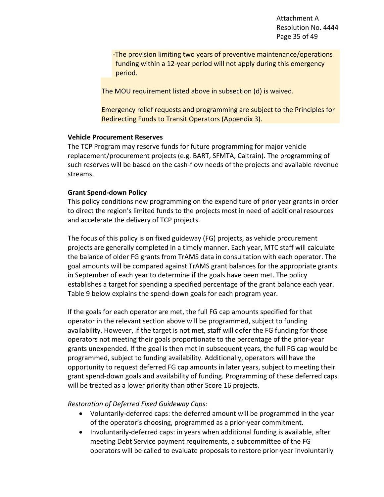Attachment A Resolution No. 4444 Page 35 of 49

‐The provision limiting two years of preventive maintenance/operations funding within a 12‐year period will not apply during this emergency period.

The MOU requirement listed above in subsection (d) is waived.

Emergency relief requests and programming are subject to the Principles for Redirecting Funds to Transit Operators (Appendix 3).

### **Vehicle Procurement Reserves**

The TCP Program may reserve funds for future programming for major vehicle replacement/procurement projects (e.g. BART, SFMTA, Caltrain). The programming of such reserves will be based on the cash-flow needs of the projects and available revenue streams.

### **Grant Spend‐down Policy**

This policy conditions new programming on the expenditure of prior year grants in order to direct the region's limited funds to the projects most in need of additional resources and accelerate the delivery of TCP projects.

The focus of this policy is on fixed guideway (FG) projects, as vehicle procurement projects are generally completed in a timely manner. Each year, MTC staff will calculate the balance of older FG grants from TrAMS data in consultation with each operator. The goal amounts will be compared against TrAMS grant balances for the appropriate grants in September of each year to determine if the goals have been met. The policy establishes a target for spending a specified percentage of the grant balance each year. Table 9 below explains the spend‐down goals for each program year.

If the goals for each operator are met, the full FG cap amounts specified for that operator in the relevant section above will be programmed, subject to funding availability. However, if the target is not met, staff will defer the FG funding for those operators not meeting their goals proportionate to the percentage of the prior‐year grants unexpended. If the goal is then met in subsequent years, the full FG cap would be programmed, subject to funding availability. Additionally, operators will have the opportunity to request deferred FG cap amounts in later years, subject to meeting their grant spend‐down goals and availability of funding. Programming of these deferred caps will be treated as a lower priority than other Score 16 projects.

*Restoration of Deferred Fixed Guideway Caps:*

- Voluntarily-deferred caps: the deferred amount will be programmed in the year of the operator's choosing, programmed as a prior‐year commitment.
- Involuntarily-deferred caps: in years when additional funding is available, after meeting Debt Service payment requirements, a subcommittee of the FG operators will be called to evaluate proposals to restore prior‐year involuntarily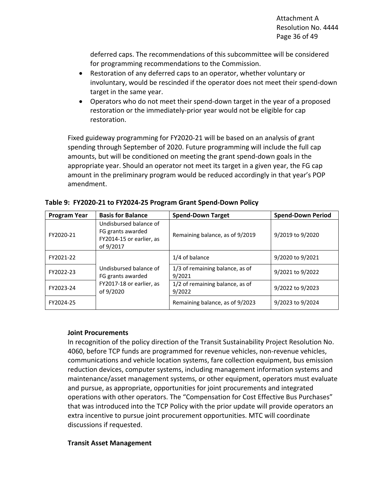Attachment A Resolution No. 4444 Page 36 of 49

deferred caps. The recommendations of this subcommittee will be considered for programming recommendations to the Commission.

- Restoration of any deferred caps to an operator, whether voluntary or involuntary, would be rescinded if the operator does not meet their spend‐down target in the same year.
- Operators who do not meet their spend-down target in the year of a proposed restoration or the immediately‐prior year would not be eligible for cap restoration.

Fixed guideway programming for FY2020‐21 will be based on an analysis of grant spending through September of 2020. Future programming will include the full cap amounts, but will be conditioned on meeting the grant spend‐down goals in the appropriate year. Should an operator not meet its target in a given year, the FG cap amount in the preliminary program would be reduced accordingly in that year's POP amendment.

| <b>Program Year</b> | <b>Basis for Balance</b>                                                             | <b>Spend-Down Target</b>                  | <b>Spend-Down Period</b> |  |
|---------------------|--------------------------------------------------------------------------------------|-------------------------------------------|--------------------------|--|
| FY2020-21           | Undisbursed balance of<br>FG grants awarded<br>FY2014-15 or earlier, as<br>of 9/2017 | Remaining balance, as of 9/2019           | 9/2019 to 9/2020         |  |
| FY2021-22           |                                                                                      | 1/4 of balance                            | 9/2020 to 9/2021         |  |
| FY2022-23           | Undisbursed balance of<br>FG grants awarded                                          | 1/3 of remaining balance, as of<br>9/2021 | 9/2021 to 9/2022         |  |
| FY2023-24           | FY2017-18 or earlier, as<br>of 9/2020                                                | 1/2 of remaining balance, as of<br>9/2022 | 9/2022 to 9/2023         |  |
| FY2024-25           |                                                                                      | Remaining balance, as of 9/2023           | 9/2023 to 9/2024         |  |

**Table 9: FY2020‐21 to FY2024‐25 Program Grant Spend‐Down Policy**

### **Joint Procurements**

In recognition of the policy direction of the Transit Sustainability Project Resolution No. 4060, before TCP funds are programmed for revenue vehicles, non‐revenue vehicles, communications and vehicle location systems, fare collection equipment, bus emission reduction devices, computer systems, including management information systems and maintenance/asset management systems, or other equipment, operators must evaluate and pursue, as appropriate, opportunities for joint procurements and integrated operations with other operators. The "Compensation for Cost Effective Bus Purchases" that was introduced into the TCP Policy with the prior update will provide operators an extra incentive to pursue joint procurement opportunities. MTC will coordinate discussions if requested.

### **Transit Asset Management**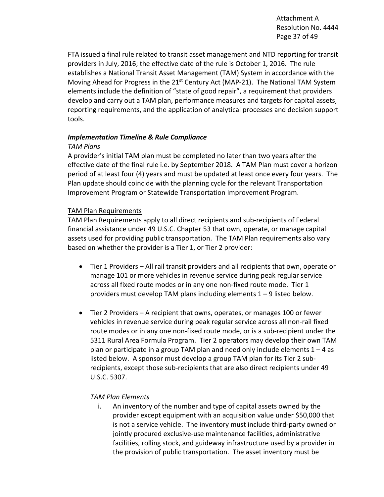Attachment A Resolution No. 4444 Page 37 of 49

FTA issued a final rule related to transit asset management and NTD reporting for transit providers in July, 2016; the effective date of the rule is October 1, 2016. The rule establishes a National Transit Asset Management (TAM) System in accordance with the Moving Ahead for Progress in the  $21<sup>st</sup>$  Century Act (MAP-21). The National TAM System elements include the definition of "state of good repair", a requirement that providers develop and carry out a TAM plan, performance measures and targets for capital assets, reporting requirements, and the application of analytical processes and decision support tools.

## *Implementation Timeline & Rule Compliance*

## *TAM Plans*

A provider's initial TAM plan must be completed no later than two years after the effective date of the final rule i.e. by September 2018. A TAM Plan must cover a horizon period of at least four (4) years and must be updated at least once every four years. The Plan update should coincide with the planning cycle for the relevant Transportation Improvement Program or Statewide Transportation Improvement Program.

## TAM Plan Requirements

TAM Plan Requirements apply to all direct recipients and sub‐recipients of Federal financial assistance under 49 U.S.C. Chapter 53 that own, operate, or manage capital assets used for providing public transportation. The TAM Plan requirements also vary based on whether the provider is a Tier 1, or Tier 2 provider:

- Tier 1 Providers All rail transit providers and all recipients that own, operate or manage 101 or more vehicles in revenue service during peak regular service across all fixed route modes or in any one non‐fixed route mode. Tier 1 providers must develop TAM plans including elements 1 – 9 listed below.
- Tier 2 Providers A recipient that owns, operates, or manages 100 or fewer vehicles in revenue service during peak regular service across all non‐rail fixed route modes or in any one non‐fixed route mode, or is a sub‐recipient under the 5311 Rural Area Formula Program. Tier 2 operators may develop their own TAM plan or participate in a group TAM plan and need only include elements  $1 - 4$  as listed below. A sponsor must develop a group TAM plan for its Tier 2 sub‐ recipients, except those sub‐recipients that are also direct recipients under 49 U.S.C. 5307.

## *TAM Plan Elements*

i. An inventory of the number and type of capital assets owned by the provider except equipment with an acquisition value under \$50,000 that is not a service vehicle. The inventory must include third‐party owned or jointly procured exclusive‐use maintenance facilities, administrative facilities, rolling stock, and guideway infrastructure used by a provider in the provision of public transportation. The asset inventory must be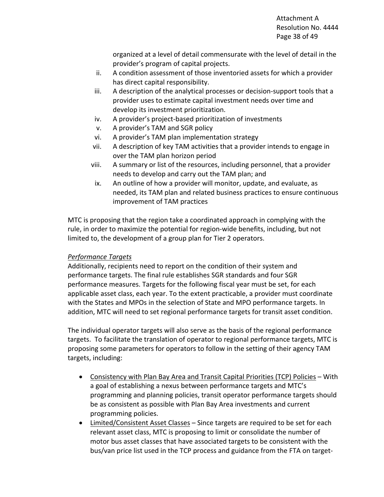Attachment A Resolution No. 4444 Page 38 of 49

organized at a level of detail commensurate with the level of detail in the provider's program of capital projects.

- ii. A condition assessment of those inventoried assets for which a provider has direct capital responsibility.
- iii. A description of the analytical processes or decision-support tools that a provider uses to estimate capital investment needs over time and develop its investment prioritization.
- iv. A provider's project‐based prioritization of investments
- v. A provider's TAM and SGR policy
- vi. A provider's TAM plan implementation strategy
- vii. A description of key TAM activities that a provider intends to engage in over the TAM plan horizon period
- viii. A summary or list of the resources, including personnel, that a provider needs to develop and carry out the TAM plan; and
- ix. An outline of how a provider will monitor, update, and evaluate, as needed, its TAM plan and related business practices to ensure continuous improvement of TAM practices

MTC is proposing that the region take a coordinated approach in complying with the rule, in order to maximize the potential for region‐wide benefits, including, but not limited to, the development of a group plan for Tier 2 operators.

## *Performance Targets*

Additionally, recipients need to report on the condition of their system and performance targets. The final rule establishes SGR standards and four SGR performance measures. Targets for the following fiscal year must be set, for each applicable asset class, each year. To the extent practicable, a provider must coordinate with the States and MPOs in the selection of State and MPO performance targets. In addition, MTC will need to set regional performance targets for transit asset condition.

The individual operator targets will also serve as the basis of the regional performance targets. To facilitate the translation of operator to regional performance targets, MTC is proposing some parameters for operators to follow in the setting of their agency TAM targets, including:

- Consistency with Plan Bay Area and Transit Capital Priorities (TCP) Policies With a goal of establishing a nexus between performance targets and MTC's programming and planning policies, transit operator performance targets should be as consistent as possible with Plan Bay Area investments and current programming policies.
- Limited/Consistent Asset Classes Since targets are required to be set for each relevant asset class, MTC is proposing to limit or consolidate the number of motor bus asset classes that have associated targets to be consistent with the bus/van price list used in the TCP process and guidance from the FTA on target‐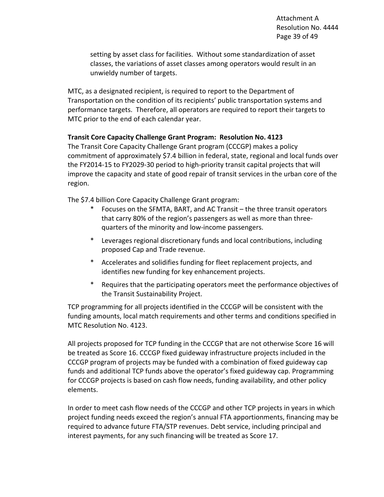setting by asset class for facilities. Without some standardization of asset classes, the variations of asset classes among operators would result in an unwieldy number of targets.

MTC, as a designated recipient, is required to report to the Department of Transportation on the condition of its recipients' public transportation systems and performance targets. Therefore, all operators are required to report their targets to MTC prior to the end of each calendar year.

## **Transit Core Capacity Challenge Grant Program: Resolution No. 4123**

The Transit Core Capacity Challenge Grant program (CCCGP) makes a policy commitment of approximately \$7.4 billion in federal, state, regional and local funds over the FY2014‐15 to FY2029‐30 period to high‐priority transit capital projects that will improve the capacity and state of good repair of transit services in the urban core of the region.

The \$7.4 billion Core Capacity Challenge Grant program:

- Focuses on the SFMTA, BART, and AC Transit the three transit operators that carry 80% of the region's passengers as well as more than three‐ quarters of the minority and low‐income passengers.
- Leverages regional discretionary funds and local contributions, including proposed Cap and Trade revenue.
- \* Accelerates and solidifies funding for fleet replacement projects, and identifies new funding for key enhancement projects.
- \* Requires that the participating operators meet the performance objectives of the Transit Sustainability Project.

TCP programming for all projects identified in the CCCGP will be consistent with the funding amounts, local match requirements and other terms and conditions specified in MTC Resolution No. 4123.

All projects proposed for TCP funding in the CCCGP that are not otherwise Score 16 will be treated as Score 16. CCCGP fixed guideway infrastructure projects included in the CCCGP program of projects may be funded with a combination of fixed guideway cap funds and additional TCP funds above the operator's fixed guideway cap. Programming for CCCGP projects is based on cash flow needs, funding availability, and other policy elements.

In order to meet cash flow needs of the CCCGP and other TCP projects in years in which project funding needs exceed the region's annual FTA apportionments, financing may be required to advance future FTA/STP revenues. Debt service, including principal and interest payments, for any such financing will be treated as Score 17.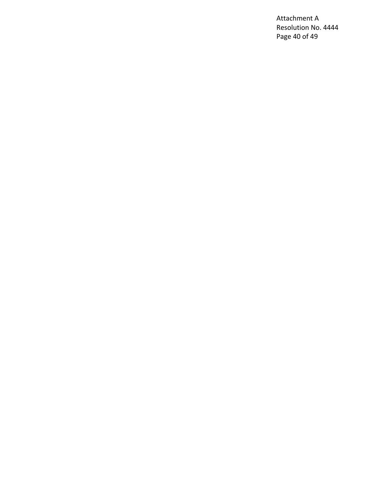Attachment A Resolution No. 4444 Page 40 of 49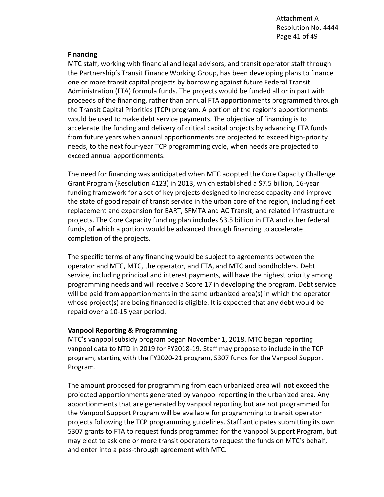Attachment A Resolution No. 4444 Page 41 of 49

### **Financing**

MTC staff, working with financial and legal advisors, and transit operator staff through the Partnership's Transit Finance Working Group, has been developing plans to finance one or more transit capital projects by borrowing against future Federal Transit Administration (FTA) formula funds. The projects would be funded all or in part with proceeds of the financing, rather than annual FTA apportionments programmed through the Transit Capital Priorities (TCP) program. A portion of the region's apportionments would be used to make debt service payments. The objective of financing is to accelerate the funding and delivery of critical capital projects by advancing FTA funds from future years when annual apportionments are projected to exceed high‐priority needs, to the next four‐year TCP programming cycle, when needs are projected to exceed annual apportionments.

The need for financing was anticipated when MTC adopted the Core Capacity Challenge Grant Program (Resolution 4123) in 2013, which established a \$7.5 billion, 16‐year funding framework for a set of key projects designed to increase capacity and improve the state of good repair of transit service in the urban core of the region, including fleet replacement and expansion for BART, SFMTA and AC Transit, and related infrastructure projects. The Core Capacity funding plan includes \$3.5 billion in FTA and other federal funds, of which a portion would be advanced through financing to accelerate completion of the projects.

The specific terms of any financing would be subject to agreements between the operator and MTC, MTC, the operator, and FTA, and MTC and bondholders. Debt service, including principal and interest payments, will have the highest priority among programming needs and will receive a Score 17 in developing the program. Debt service will be paid from apportionments in the same urbanized area(s) in which the operator whose project(s) are being financed is eligible. It is expected that any debt would be repaid over a 10‐15 year period.

### **Vanpool Reporting & Programming**

MTC's vanpool subsidy program began November 1, 2018. MTC began reporting vanpool data to NTD in 2019 for FY2018‐19. Staff may propose to include in the TCP program, starting with the FY2020‐21 program, 5307 funds for the Vanpool Support Program.

The amount proposed for programming from each urbanized area will not exceed the projected apportionments generated by vanpool reporting in the urbanized area. Any apportionments that are generated by vanpool reporting but are not programmed for the Vanpool Support Program will be available for programming to transit operator projects following the TCP programming guidelines. Staff anticipates submitting its own 5307 grants to FTA to request funds programmed for the Vanpool Support Program, but may elect to ask one or more transit operators to request the funds on MTC's behalf, and enter into a pass‐through agreement with MTC.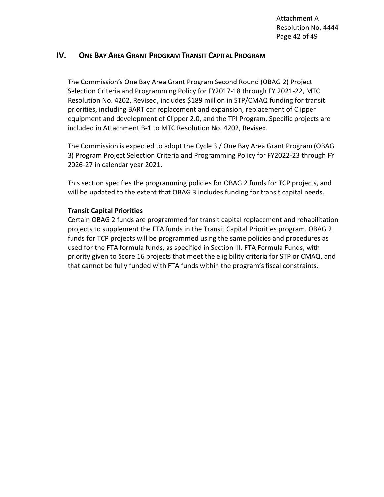Attachment A Resolution No. 4444 Page 42 of 49

## **IV. ONE BAY AREA GRANT PROGRAM TRANSIT CAPITAL PROGRAM**

The Commission's One Bay Area Grant Program Second Round (OBAG 2) Project Selection Criteria and Programming Policy for FY2017‐18 through FY 2021‐22, MTC Resolution No. 4202, Revised, includes \$189 million in STP/CMAQ funding for transit priorities, including BART car replacement and expansion, replacement of Clipper equipment and development of Clipper 2.0, and the TPI Program. Specific projects are included in Attachment B‐1 to MTC Resolution No. 4202, Revised.

The Commission is expected to adopt the Cycle 3 / One Bay Area Grant Program (OBAG 3) Program Project Selection Criteria and Programming Policy for FY2022‐23 through FY 2026‐27 in calendar year 2021.

This section specifies the programming policies for OBAG 2 funds for TCP projects, and will be updated to the extent that OBAG 3 includes funding for transit capital needs.

## **Transit Capital Priorities**

Certain OBAG 2 funds are programmed for transit capital replacement and rehabilitation projects to supplement the FTA funds in the Transit Capital Priorities program. OBAG 2 funds for TCP projects will be programmed using the same policies and procedures as used for the FTA formula funds, as specified in Section III. FTA Formula Funds, with priority given to Score 16 projects that meet the eligibility criteria for STP or CMAQ, and that cannot be fully funded with FTA funds within the program's fiscal constraints.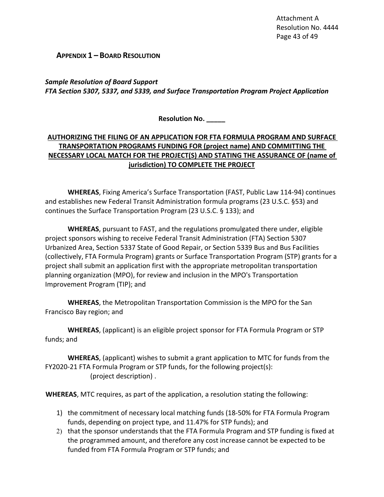Attachment A Resolution No. 4444 Page 43 of 49

**APPENDIX 1 – BOARD RESOLUTION**

*Sample Resolution of Board Support FTA Section 5307, 5337, and 5339, and Surface Transportation Program Project Application*

**Resolution No. \_\_\_\_\_**

## **AUTHORIZING THE FILING OF AN APPLICATION FOR FTA FORMULA PROGRAM AND SURFACE TRANSPORTATION PROGRAMS FUNDING FOR (project name) AND COMMITTING THE NECESSARY LOCAL MATCH FOR THE PROJECT(S) AND STATING THE ASSURANCE OF (name of jurisdiction) TO COMPLETE THE PROJECT**

**WHEREAS**, Fixing America's Surface Transportation (FAST, Public Law 114‐94) continues and establishes new Federal Transit Administration formula programs (23 U.S.C. §53) and continues the Surface Transportation Program (23 U.S.C. § 133); and

**WHEREAS**, pursuant to FAST, and the regulations promulgated there under, eligible project sponsors wishing to receive Federal Transit Administration (FTA) Section 5307 Urbanized Area, Section 5337 State of Good Repair, or Section 5339 Bus and Bus Facilities (collectively, FTA Formula Program) grants or Surface Transportation Program (STP) grants for a project shall submit an application first with the appropriate metropolitan transportation planning organization (MPO), for review and inclusion in the MPO's Transportation Improvement Program (TIP); and

**WHEREAS**, the Metropolitan Transportation Commission is the MPO for the San Francisco Bay region; and

**WHEREAS**, (applicant) is an eligible project sponsor for FTA Formula Program or STP funds; and

**WHEREAS**, (applicant) wishes to submit a grant application to MTC for funds from the FY2020‐21 FTA Formula Program or STP funds, for the following project(s): (project description) .

**WHEREAS**, MTC requires, as part of the application, a resolution stating the following:

- 1) the commitment of necessary local matching funds (18‐50% for FTA Formula Program funds, depending on project type, and 11.47% for STP funds); and
- 2) that the sponsor understands that the FTA Formula Program and STP funding is fixed at the programmed amount, and therefore any cost increase cannot be expected to be funded from FTA Formula Program or STP funds; and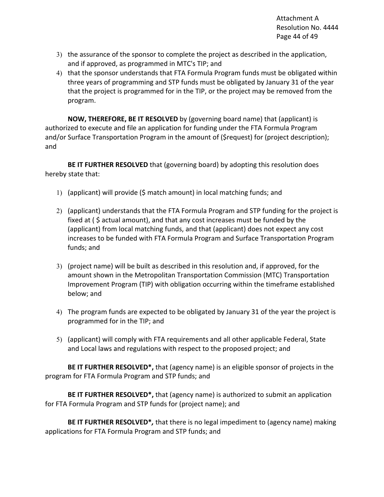Attachment A Resolution No. 4444 Page 44 of 49

- 3) the assurance of the sponsor to complete the project as described in the application, and if approved, as programmed in MTC's TIP; and
- 4) that the sponsor understands that FTA Formula Program funds must be obligated within three years of programming and STP funds must be obligated by January 31 of the year that the project is programmed for in the TIP, or the project may be removed from the program.

**NOW, THEREFORE, BE IT RESOLVED** by (governing board name) that (applicant) is authorized to execute and file an application for funding under the FTA Formula Program and/or Surface Transportation Program in the amount of (\$request) for (project description); and

**BE IT FURTHER RESOLVED** that (governing board) by adopting this resolution does hereby state that:

- 1) (applicant) will provide (\$ match amount) in local matching funds; and
- 2) (applicant) understands that the FTA Formula Program and STP funding for the project is fixed at ( \$ actual amount), and that any cost increases must be funded by the (applicant) from local matching funds, and that (applicant) does not expect any cost increases to be funded with FTA Formula Program and Surface Transportation Program funds; and
- 3) (project name) will be built as described in this resolution and, if approved, for the amount shown in the Metropolitan Transportation Commission (MTC) Transportation Improvement Program (TIP) with obligation occurring within the timeframe established below; and
- 4) The program funds are expected to be obligated by January 31 of the year the project is programmed for in the TIP; and
- 5) (applicant) will comply with FTA requirements and all other applicable Federal, State and Local laws and regulations with respect to the proposed project; and

**BE IT FURTHER RESOLVED\*,** that (agency name) is an eligible sponsor of projects in the program for FTA Formula Program and STP funds; and

**BE IT FURTHER RESOLVED\*,** that (agency name) is authorized to submit an application for FTA Formula Program and STP funds for (project name); and

**BE IT FURTHER RESOLVED\****,* that there is no legal impediment to (agency name) making applications for FTA Formula Program and STP funds; and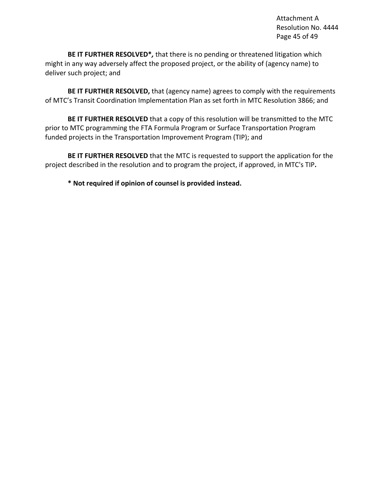Attachment A Resolution No. 4444 Page 45 of 49

**BE IT FURTHER RESOLVED\****,* that there is no pending or threatened litigation which might in any way adversely affect the proposed project, or the ability of (agency name) to deliver such project; and

**BE IT FURTHER RESOLVED,** that (agency name) agrees to comply with the requirements of MTC's Transit Coordination Implementation Plan as set forth in MTC Resolution 3866; and

**BE IT FURTHER RESOLVED** that a copy of this resolution will be transmitted to the MTC prior to MTC programming the FTA Formula Program or Surface Transportation Program funded projects in the Transportation Improvement Program (TIP); and

**BE IT FURTHER RESOLVED** that the MTC is requested to support the application for the project described in the resolution and to program the project, if approved, in MTC's TIP**.**

**\* Not required if opinion of counsel is provided instead.**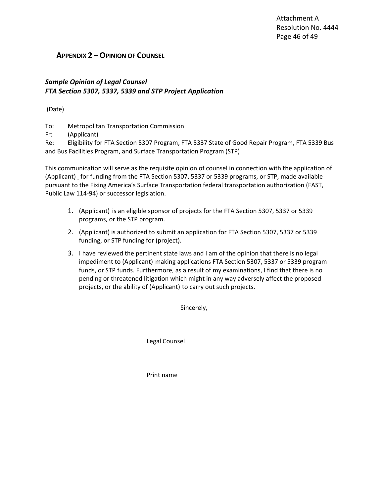Attachment A Resolution No. 4444 Page 46 of 49

### **APPENDIX 2 –OPINION OF COUNSEL**

## *Sample Opinion of Legal Counsel FTA Section 5307, 5337, 5339 and STP Project Application*

(Date)

To: Metropolitan Transportation Commission

Fr: (Applicant)

Re: Eligibility for FTA Section 5307 Program, FTA 5337 State of Good Repair Program, FTA 5339 Bus and Bus Facilities Program, and Surface Transportation Program (STP)

This communication will serve as the requisite opinion of counsel in connection with the application of (Applicant) for funding from the FTA Section 5307, 5337 or 5339 programs, or STP, made available pursuant to the Fixing America's Surface Transportation federal transportation authorization (FAST, Public Law 114‐94) or successor legislation.

- 1. (Applicant) is an eligible sponsor of projects for the FTA Section 5307, 5337 or 5339 programs, or the STP program.
- 2. (Applicant) is authorized to submit an application for FTA Section 5307, 5337 or 5339 funding, or STP funding for (project).
- 3. I have reviewed the pertinent state laws and I am of the opinion that there is no legal impediment to (Applicant) making applications FTA Section 5307, 5337 or 5339 program funds, or STP funds. Furthermore, as a result of my examinations, I find that there is no pending or threatened litigation which might in any way adversely affect the proposed projects, or the ability of (Applicant) to carry out such projects.

Sincerely,

<u> 1989 - John Stein, Amerikaansk politiker (\* 1989)</u> Legal Counsel

<u> 1980 - John Stone, Amerikaansk politiker (\* 1980)</u>

Print name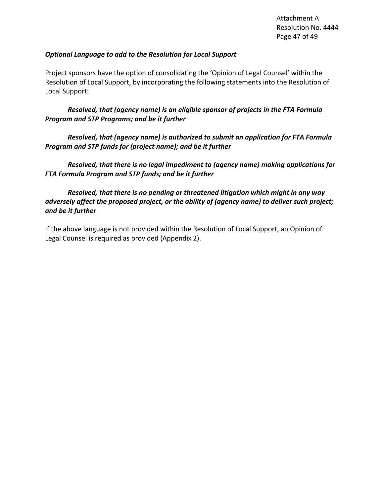## *Optional Language to add to the Resolution for Local Support*

Project sponsors have the option of consolidating the 'Opinion of Legal Counsel' within the Resolution of Local Support, by incorporating the following statements into the Resolution of Local Support:

*Resolved, that (agency name) is an eligible sponsor of projects in the FTA Formula Program and STP Programs; and be it further*

*Resolved, that (agency name) is authorized to submit an application for FTA Formula Program and STP funds for (project name); and be it further*

*Resolved, that there is no legal impediment to (agency name) making applications for FTA Formula Program and STP funds; and be it further*

## *Resolved, that there is no pending or threatened litigation which might in any way adversely affect the proposed project, or the ability of (agency name) to deliver such project; and be it further*

If the above language is not provided within the Resolution of Local Support, an Opinion of Legal Counsel is required as provided (Appendix 2).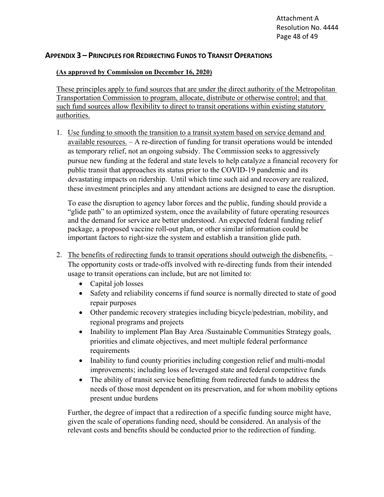## **APPENDIX 3 – PRINCIPLES FOR REDIRECTING FUNDS TO TRANSITOPERATIONS**

## **(As approved by Commission on December 16, 2020)**

These principles apply to fund sources that are under the direct authority of the Metropolitan Transportation Commission to program, allocate, distribute or otherwise control; and that such fund sources allow flexibility to direct to transit operations within existing statutory authorities.

1. Use funding to smooth the transition to a transit system based on service demand and available resources. – A re-direction of funding for transit operations would be intended as temporary relief, not an ongoing subsidy. The Commission seeks to aggressively pursue new funding at the federal and state levels to help catalyze a financial recovery for public transit that approaches its status prior to the COVID-19 pandemic and its devastating impacts on ridership. Until which time such aid and recovery are realized, these investment principles and any attendant actions are designed to ease the disruption.

To ease the disruption to agency labor forces and the public, funding should provide a "glide path" to an optimized system, once the availability of future operating resources and the demand for service are better understood. An expected federal funding relief package, a proposed vaccine roll-out plan, or other similar information could be important factors to right-size the system and establish a transition glide path.

- 2. The benefits of redirecting funds to transit operations should outweigh the disbenefits. The opportunity costs or trade-offs involved with re-directing funds from their intended usage to transit operations can include, but are not limited to:
	- Capital job losses
	- Safety and reliability concerns if fund source is normally directed to state of good repair purposes
	- Other pandemic recovery strategies including bicycle/pedestrian, mobility, and regional programs and projects
	- Inability to implement Plan Bay Area /Sustainable Communities Strategy goals, priorities and climate objectives, and meet multiple federal performance requirements
	- Inability to fund county priorities including congestion relief and multi-modal improvements; including loss of leveraged state and federal competitive funds
	- The ability of transit service benefitting from redirected funds to address the needs of those most dependent on its preservation, and for whom mobility options present undue burdens

Further, the degree of impact that a redirection of a specific funding source might have, given the scale of operations funding need, should be considered. An analysis of the relevant costs and benefits should be conducted prior to the redirection of funding.